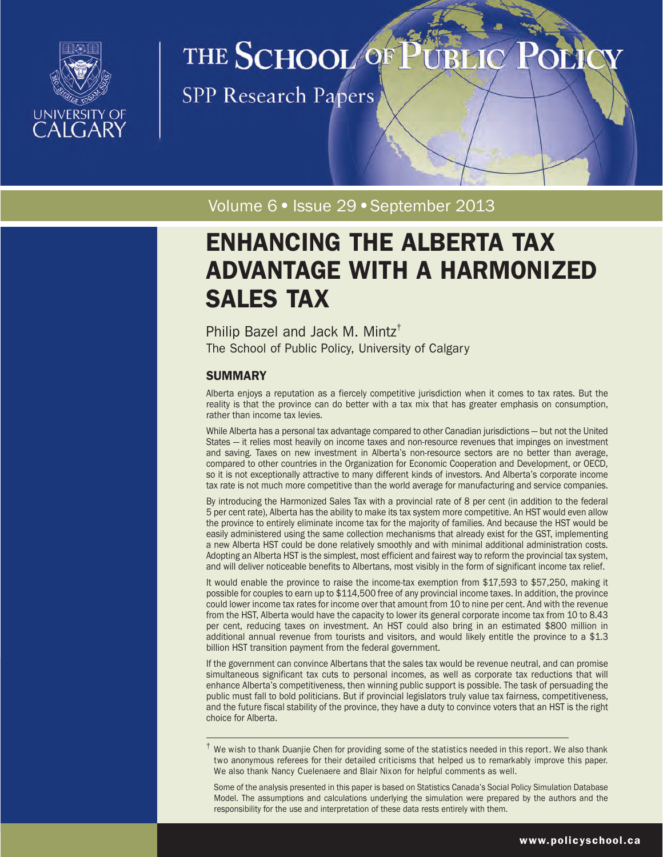

# THE SCHOOL OF

**SPP Research Papers** 

Volume 6 · Issue 29 · September 2013

# ENHANCING THE ALBERTA TAX ADVANTAGE WITH A HARMONIZED SALES TAX

Philip Bazel and Jack M. Mintz† The School of Public Policy, University of Calgary

# **SUMMARY**

Alberta enjoys a reputation as a fiercely competitive jurisdiction when it comes to tax rates. But the reality is that the province can do better with a tax mix that has greater emphasis on consumption, rather than income tax levies.

While Alberta has a personal tax advantage compared to other Canadian jurisdictions — but not the United States — it relies most heavily on income taxes and non-resource revenues that impinges on investment and saving. Taxes on new investment in Alberta's non-resource sectors are no better than average, compared to other countries in the Organization for Economic Cooperation and Development, or OECD, so it is not exceptionally attractive to many different kinds of investors. And Alberta's corporate income tax rate is not much more competitive than the world average for manufacturing and service companies.

By introducing the Harmonized Sales Tax with a provincial rate of 8 per cent (in addition to the federal 5 per cent rate), Alberta has the ability to make its tax system more competitive. An HST would even allow the province to entirely eliminate income tax for the majority of families. And because the HST would be easily administered using the same collection mechanisms that already exist for the GST, implementing a new Alberta HST could be done relatively smoothly and with minimal additional administration costs. Adopting an Alberta HST is the simplest, most efficient and fairest way to reform the provincial tax system, and will deliver noticeable benefits to Albertans, most visibly in the form of significant income tax relief.

It would enable the province to raise the income-tax exemption from \$17,593 to \$57,250, making it possible for couples to earn up to \$114,500 free of any provincial income taxes. In addition, the province could lower income tax rates for income over that amount from 10 to nine per cent. And with the revenue from the HST, Alberta would have the capacity to lower its general corporate income tax from 10 to 8.43 per cent, reducing taxes on investment. An HST could also bring in an estimated \$800 million in additional annual revenue from tourists and visitors, and would likely entitle the province to a \$1.3 billion HST transition payment from the federal government.

If the government can convince Albertans that the sales tax would be revenue neutral, and can promise simultaneous significant tax cuts to personal incomes, as well as corporate tax reductions that will enhance Alberta's competitiveness, then winning public support is possible. The task of persuading the public must fall to bold politicians. But if provincial legislators truly value tax fairness, competitiveness, and the future fiscal stability of the province, they have a duty to convince voters that an HST is the right choice for Alberta.

 $\dagger$  We wish to thank Duanjie Chen for providing some of the statistics needed in this report. We also thank two anonymous referees for their detailed criticisms that helped us to remarkably improve this paper. We also thank Nancy Cuelenaere and Blair Nixon for helpful comments as well.

Some of the analysis presented in this paper is based on Statistics Canada's Social Policy Simulation Database Model. The assumptions and calculations underlying the simulation were prepared by the authors and the responsibility for the use and interpretation of these data rests entirely with them.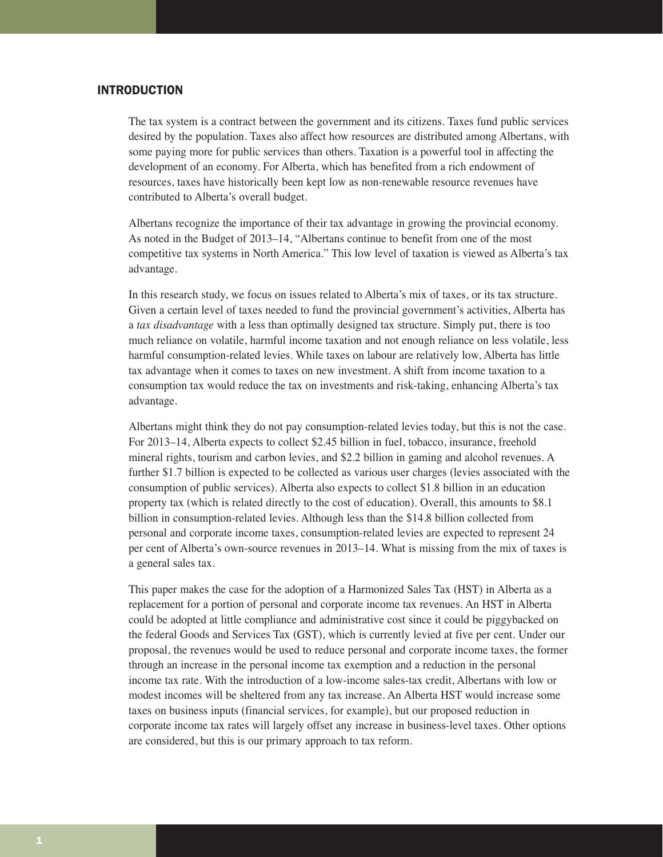# INTRODUCTION

The tax system is a contract between the government and its citizens. Taxes fund public services desired by the population. Taxes also affect how resources are distributed among Albertans, with some paying more for public services than others. Taxation is a powerful tool in affecting the development of an economy. For Alberta, which has benefited from a rich endowment of resources, taxes have historically been kept low as non-renewable resource revenues have contributed to Alberta's overall budget.

Albertans recognize the importance of their tax advantage in growing the provincial economy. As noted in the Budget of 2013–14, "Albertans continue to benefit from one of the most competitive tax systems in North America." This low level of taxation is viewed as Alberta's tax advantage.

In this research study, we focus on issues related to Alberta's mix of taxes, or its tax structure. Given a certain level of taxes needed to fund the provincial government's activities, Alberta has a *tax disadvantage* with a less than optimally designed tax structure. Simply put, there is too much reliance on volatile, harmful income taxation and not enough reliance on less volatile, less harmful consumption-related levies. While taxes on labour are relatively low, Alberta has little tax advantage when it comes to taxes on new investment. A shift from income taxation to a consumption tax would reduce the tax on investments and risk-taking, enhancing Alberta's tax advantage.

Albertans might think they do not pay consumption-related levies today, but this is not the case. For 2013–14, Alberta expects to collect \$2.45 billion in fuel, tobacco, insurance, freehold mineral rights, tourism and carbon levies, and \$2.2 billion in gaming and alcohol revenues. A further \$1.7 billion is expected to be collected as various user charges (levies associated with the consumption of public services). Alberta also expects to collect \$1.8 billion in an education property tax (which is related directly to the cost of education). Overall, this amounts to \$8.1 billion in consumption-related levies. Although less than the \$14.8 billion collected from personal and corporate income taxes, consumption-related levies are expected to represent 24 per cent of Alberta's own-source revenues in 2013–14. What is missing from the mix of taxes is a general sales tax.

This paper makes the case for the adoption of a Harmonized Sales Tax (HST) in Alberta as a replacement for a portion of personal and corporate income tax revenues. An HST in Alberta could be adopted at little compliance and administrative cost since it could be piggybacked on the federal Goods and Services Tax (GST), which is currently levied at five per cent. Under our proposal, the revenues would be used to reduce personal and corporate income taxes, the former through an increase in the personal income tax exemption and a reduction in the personal income tax rate. With the introduction of a low-income sales-tax credit, Albertans with low or modest incomes will be sheltered from any tax increase. An Alberta HST would increase some taxes on business inputs (financial services, for example), but our proposed reduction in corporate income tax rates will largely offset any increase in business-level taxes. Other options are considered, but this is our primary approach to tax reform.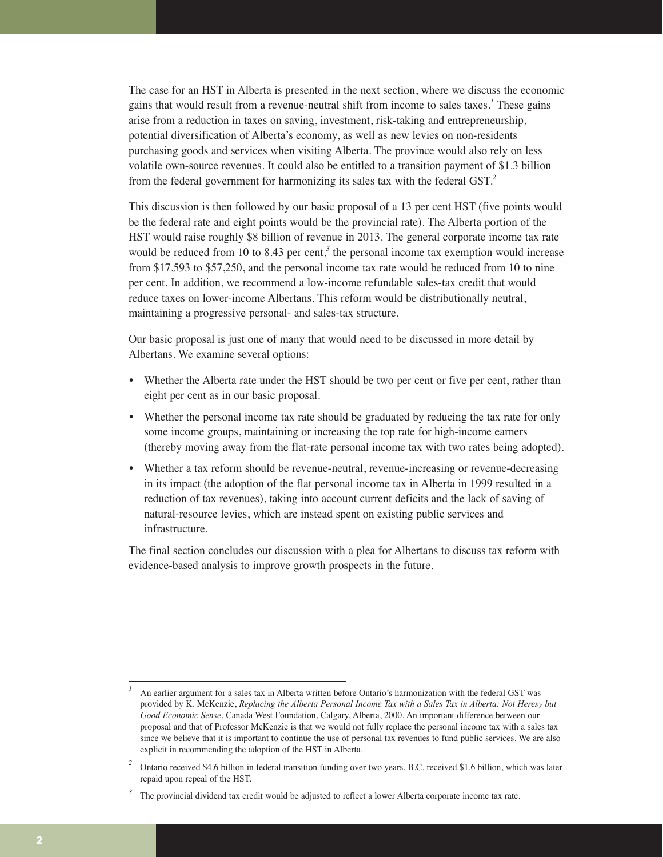The case for an HST in Alberta is presented in the next section, where we discuss the economic gains that would result from a revenue-neutral shift from income to sales taxes.*<sup>1</sup>* These gains arise from a reduction in taxes on saving, investment, risk-taking and entrepreneurship, potential diversification of Alberta's economy, as well as new levies on non-residents purchasing goods and services when visiting Alberta. The province would also rely on less volatile own-source revenues. It could also be entitled to a transition payment of \$1.3 billion from the federal government for harmonizing its sales tax with the federal GST.*<sup>2</sup>*

This discussion is then followed by our basic proposal of a 13 per cent HST (five points would be the federal rate and eight points would be the provincial rate). The Alberta portion of the HST would raise roughly \$8 billion of revenue in 2013. The general corporate income tax rate would be reduced from 10 to 8.43 per cent,<sup>3</sup> the personal income tax exemption would increase from \$17,593 to \$57,250, and the personal income tax rate would be reduced from 10 to nine per cent. In addition, we recommend a low-income refundable sales-tax credit that would reduce taxes on lower-income Albertans. This reform would be distributionally neutral, maintaining a progressive personal- and sales-tax structure.

Our basic proposal is just one of many that would need to be discussed in more detail by Albertans. We examine several options:

- Whether the Alberta rate under the HST should be two per cent or five per cent, rather than eight per cent as in our basic proposal.
- Whether the personal income tax rate should be graduated by reducing the tax rate for only some income groups, maintaining or increasing the top rate for high-income earners (thereby moving away from the flat-rate personal income tax with two rates being adopted).
- Whether a tax reform should be revenue-neutral, revenue-increasing or revenue-decreasing in its impact (the adoption of the flat personal income tax in Alberta in 1999 resulted in a reduction of tax revenues), taking into account current deficits and the lack of saving of natural-resource levies, which are instead spent on existing public services and infrastructure.

The final section concludes our discussion with a plea for Albertans to discuss tax reform with evidence-based analysis to improve growth prospects in the future.

*<sup>1</sup>* An earlier argument for a sales tax in Alberta written before Ontario's harmonization with the federal GST was provided by K. McKenzie, *Replacing the Alberta Personal Income Tax with a Sales Tax in Alberta: Not Heresy but Good Economic Sense*, Canada West Foundation, Calgary, Alberta, 2000. An important difference between our proposal and that of Professor McKenzie is that we would not fully replace the personal income tax with a sales tax since we believe that it is important to continue the use of personal tax revenues to fund public services. We are also explicit in recommending the adoption of the HST in Alberta.

<sup>&</sup>lt;sup>2</sup> Ontario received \$4.6 billion in federal transition funding over two years. B.C. received \$1.6 billion, which was later repaid upon repeal of the HST.

<sup>&</sup>lt;sup>3</sup> The provincial dividend tax credit would be adjusted to reflect a lower Alberta corporate income tax rate.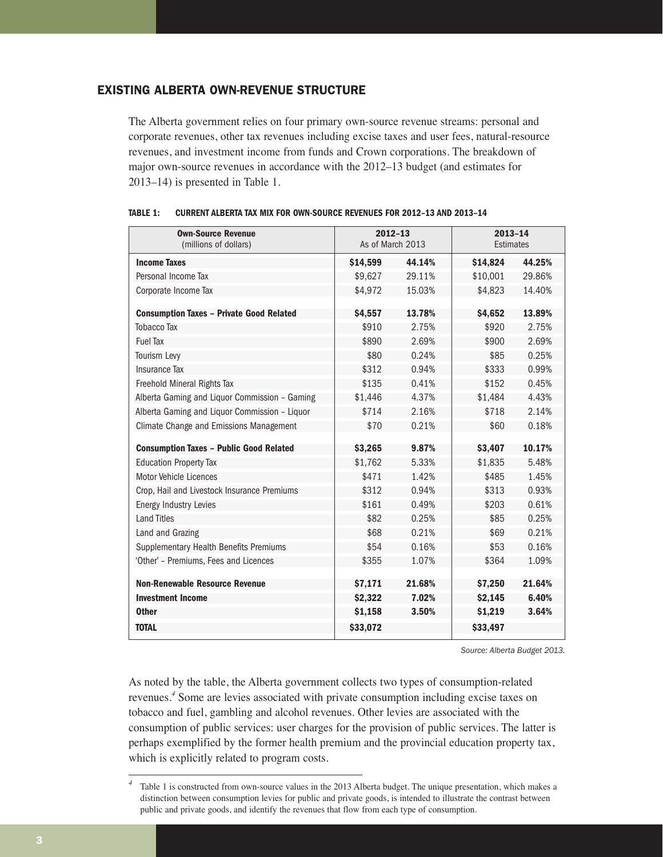# EXISTING ALBERTA OWN-REVENUE STRUCTURE

The Alberta government relies on four primary own-source revenue streams: personal and corporate revenues, other tax revenues including excise taxes and user fees, natural-resource revenues, and investment income from funds and Crown corporations. The breakdown of major own-source revenues in accordance with the 2012–13 budget (and estimates for 2013–14) is presented in Table 1.

| <b>Own-Source Revenue</b><br>(millions of dollars) | $2012 - 13$<br>As of March 2013 |        | $2013 - 14$<br>Estimates |        |  |
|----------------------------------------------------|---------------------------------|--------|--------------------------|--------|--|
| <b>Income Taxes</b>                                | \$14,599                        | 44.14% | \$14,824                 | 44.25% |  |
| Personal Income Tax                                | \$9,627                         | 29.11% | \$10,001                 | 29.86% |  |
| Corporate Income Tax                               | \$4,972                         | 15.03% | \$4,823                  | 14.40% |  |
| <b>Consumption Taxes - Private Good Related</b>    | \$4,557                         | 13.78% | \$4,652                  | 13.89% |  |
| <b>Tobacco Tax</b>                                 | \$910                           | 2.75%  | \$920                    | 2.75%  |  |
| <b>Fuel Tax</b>                                    | \$890                           | 2.69%  | \$900                    | 2.69%  |  |
| Tourism Levy                                       | \$80                            | 0.24%  | \$85                     | 0.25%  |  |
| <b>Insurance Tax</b>                               | \$312                           | 0.94%  | \$333                    | 0.99%  |  |
| Freehold Mineral Rights Tax                        | \$135                           | 0.41%  | \$152                    | 0.45%  |  |
| Alberta Gaming and Liquor Commission - Gaming      | \$1,446                         | 4.37%  | \$1,484                  | 4.43%  |  |
| Alberta Gaming and Liquor Commission - Liquor      | \$714                           | 2.16%  | \$718                    | 2.14%  |  |
| Climate Change and Emissions Management            | \$70                            | 0.21%  | \$60                     | 0.18%  |  |
| <b>Consumption Taxes - Public Good Related</b>     | \$3,265                         | 9.87%  | \$3,407                  | 10.17% |  |
| <b>Education Property Tax</b>                      | \$1,762                         | 5.33%  | \$1,835                  | 5.48%  |  |
| Motor Vehicle Licences                             | \$471                           | 1.42%  | \$485                    | 1.45%  |  |
| Crop, Hail and Livestock Insurance Premiums        | \$312                           | 0.94%  | \$313                    | 0.93%  |  |
| <b>Energy Industry Levies</b>                      | \$161                           | 0.49%  | \$203                    | 0.61%  |  |
| <b>Land Titles</b>                                 | \$82                            | 0.25%  | \$85                     | 0.25%  |  |
| Land and Grazing                                   | \$68                            | 0.21%  | \$69                     | 0.21%  |  |
| Supplementary Health Benefits Premiums             | \$54                            | 0.16%  | \$53                     | 0.16%  |  |
| 'Other' - Premiums, Fees and Licences              | \$355                           | 1.07%  | \$364                    | 1.09%  |  |
|                                                    |                                 |        |                          |        |  |
| <b>Non-Renewable Resource Revenue</b>              | \$7,171                         | 21.68% | \$7,250                  | 21.64% |  |
| <b>Investment Income</b>                           | \$2,322                         | 7.02%  | \$2,145                  | 6.40%  |  |
| <b>Other</b>                                       | \$1,158                         | 3.50%  | \$1,219                  | 3.64%  |  |
| <b>TOTAL</b>                                       | \$33,072                        |        | \$33,497                 |        |  |

### **TABLE 1: CURRENT ALBERTA TAX MIX FOR OWN-SOURCE REVENUES FOR 2012–13 AND 2013–14**

*Source: Alberta Budget 2013.*

As noted by the table, the Alberta government collects two types of consumption-related revenues.*<sup>4</sup>* Some are levies associated with private consumption including excise taxes on tobacco and fuel, gambling and alcohol revenues. Other levies are associated with the consumption of public services: user charges for the provision of public services. The latter is perhaps exemplified by the former health premium and the provincial education property tax, which is explicitly related to program costs.

*<sup>4</sup>* Table 1 is constructed from own-source values in the 2013 Alberta budget. The unique presentation, which makes a distinction between consumption levies for public and private goods, is intended to illustrate the contrast between public and private goods, and identify the revenues that flow from each type of consumption.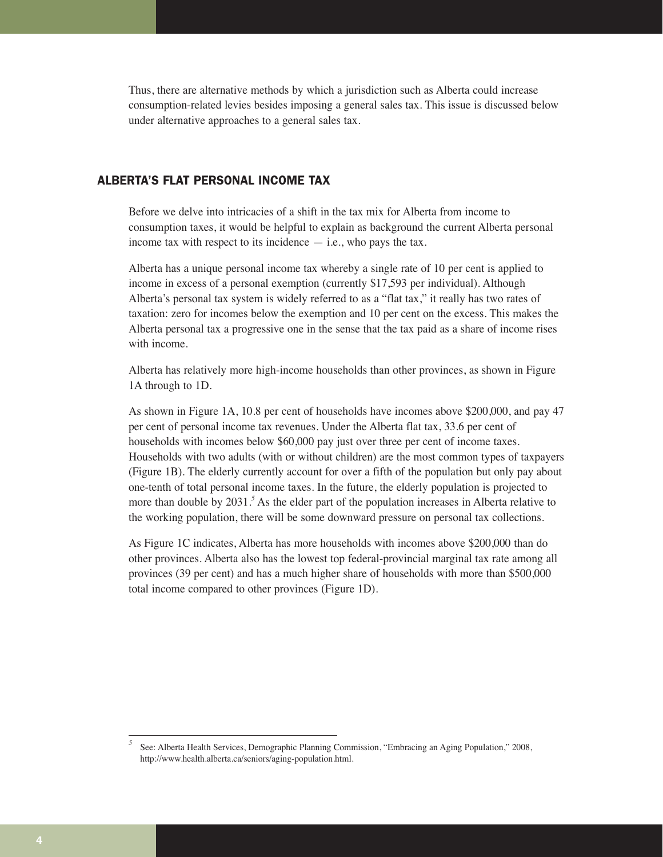Thus, there are alternative methods by which a jurisdiction such as Alberta could increase consumption-related levies besides imposing a general sales tax. This issue is discussed below under alternative approaches to a general sales tax.

# ALBERTA'S FLAT PERSONAL INCOME TAX

Before we delve into intricacies of a shift in the tax mix for Alberta from income to consumption taxes, it would be helpful to explain as background the current Alberta personal income tax with respect to its incidence  $-$  i.e., who pays the tax.

Alberta has a unique personal income tax whereby a single rate of 10 per cent is applied to income in excess of a personal exemption (currently \$17,593 per individual). Although Alberta's personal tax system is widely referred to as a "flat tax," it really has two rates of taxation: zero for incomes below the exemption and 10 per cent on the excess. This makes the Alberta personal tax a progressive one in the sense that the tax paid as a share of income rises with income.

Alberta has relatively more high-income households than other provinces, as shown in Figure 1A through to 1D.

As shown in Figure 1A, 10.8 per cent of households have incomes above \$200,000, and pay 47 per cent of personal income tax revenues. Under the Alberta flat tax, 33.6 per cent of households with incomes below \$60,000 pay just over three per cent of income taxes. Households with two adults (with or without children) are the most common types of taxpayers (Figure 1B). The elderly currently account for over a fifth of the population but only pay about one-tenth of total personal income taxes. In the future, the elderly population is projected to more than double by 2031.<sup>5</sup> As the elder part of the population increases in Alberta relative to the working population, there will be some downward pressure on personal tax collections.

As Figure 1C indicates, Alberta has more households with incomes above \$200,000 than do other provinces. Alberta also has the lowest top federal-provincial marginal tax rate among all provinces (39 per cent) and has a much higher share of households with more than \$500,000 total income compared to other provinces (Figure 1D).

*<sup>5</sup>* See: Alberta Health Services, Demographic Planning Commission, "Embracing an Aging Population," 2008, http://www.health.alberta.ca/seniors/aging-population.html.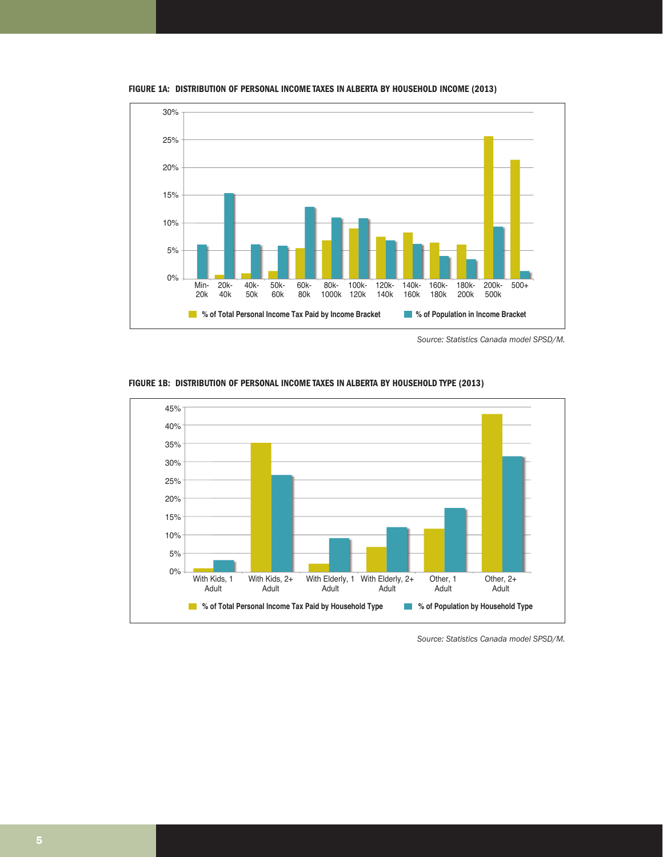

**FIGURE 1A: DISTRIBUTION OF PERSONAL INCOME TAXES IN ALBERTA BY HOUSEHOLD INCOME (2013)**

*Source: Statistics Canada model SPSD/M.*



**FIGURE 1B: DISTRIBUTION OF PERSONAL INCOME TAXES IN ALBERTA BY HOUSEHOLD TYPE (2013)**

*Source: Statistics Canada model SPSD/M.*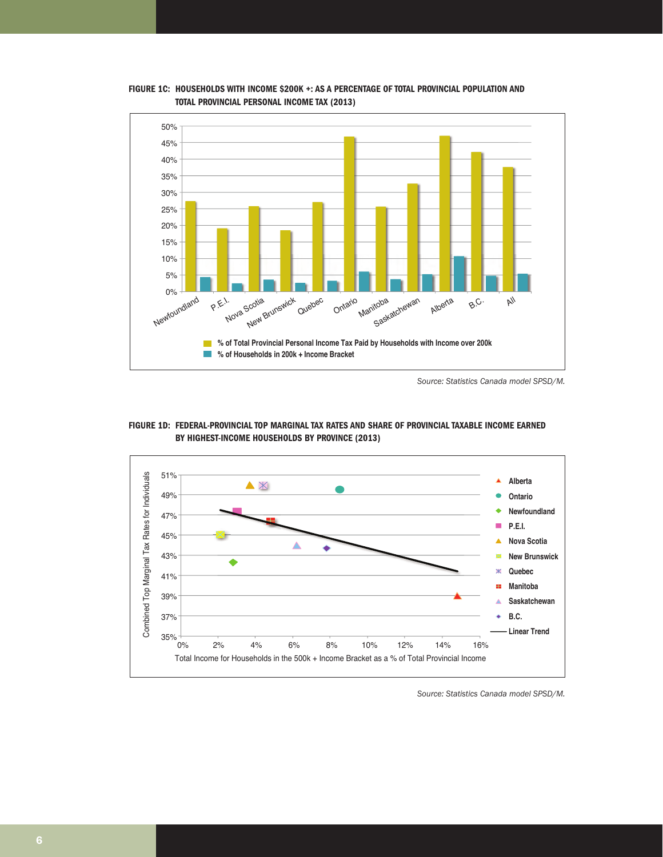

FIGURE 1C: HOUSEHOLDS WITH INCOME \$200K +: AS A PERCENTAGE OF TOTAL PROVINCIAL POPULATION AND **TOTAL PROVINCIAL PERSONAL INCOME TAX (2013)** 

*Source: Statistics Canada model SPSD/M.*





*Source: Statistics Canada model SPSD/M.*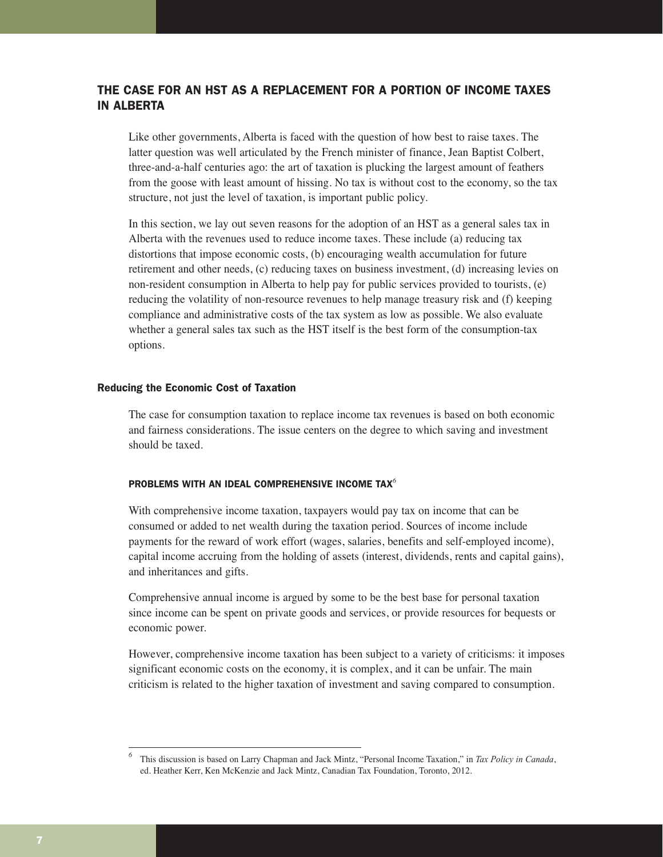# THE CASE FOR AN HST AS A REPLACEMENT FOR A PORTION OF INCOME TAXES IN ALBERTA

Like other governments, Alberta is faced with the question of how best to raise taxes. The latter question was well articulated by the French minister of finance, Jean Baptist Colbert, three-and-a-half centuries ago: the art of taxation is plucking the largest amount of feathers from the goose with least amount of hissing. No tax is without cost to the economy, so the tax structure, not just the level of taxation, is important public policy.

In this section, we lay out seven reasons for the adoption of an HST as a general sales tax in Alberta with the revenues used to reduce income taxes. These include (a) reducing tax distortions that impose economic costs, (b) encouraging wealth accumulation for future retirement and other needs, (c) reducing taxes on business investment, (d) increasing levies on non-resident consumption in Alberta to help pay for public services provided to tourists, (e) reducing the volatility of non-resource revenues to help manage treasury risk and (f) keeping compliance and administrative costs of the tax system as low as possible. We also evaluate whether a general sales tax such as the HST itself is the best form of the consumption-tax options.

#### Reducing the Economic Cost of Taxation

The case for consumption taxation to replace income tax revenues is based on both economic and fairness considerations. The issue centers on the degree to which saving and investment should be taxed.

#### PROBLEMS WITH AN IDEAL COMPREHENSIVE INCOME TAX*<sup>6</sup>*

With comprehensive income taxation, taxpayers would pay tax on income that can be consumed or added to net wealth during the taxation period. Sources of income include payments for the reward of work effort (wages, salaries, benefits and self-employed income), capital income accruing from the holding of assets (interest, dividends, rents and capital gains), and inheritances and gifts.

Comprehensive annual income is argued by some to be the best base for personal taxation since income can be spent on private goods and services, or provide resources for bequests or economic power.

However, comprehensive income taxation has been subject to a variety of criticisms: it imposes significant economic costs on the economy, it is complex, and it can be unfair. The main criticism is related to the higher taxation of investment and saving compared to consumption.

*<sup>6</sup>* This discussion is based on Larry Chapman and Jack Mintz, "Personal Income Taxation," in *Tax Policy in Canada*, ed. Heather Kerr, Ken McKenzie and Jack Mintz, Canadian Tax Foundation, Toronto, 2012.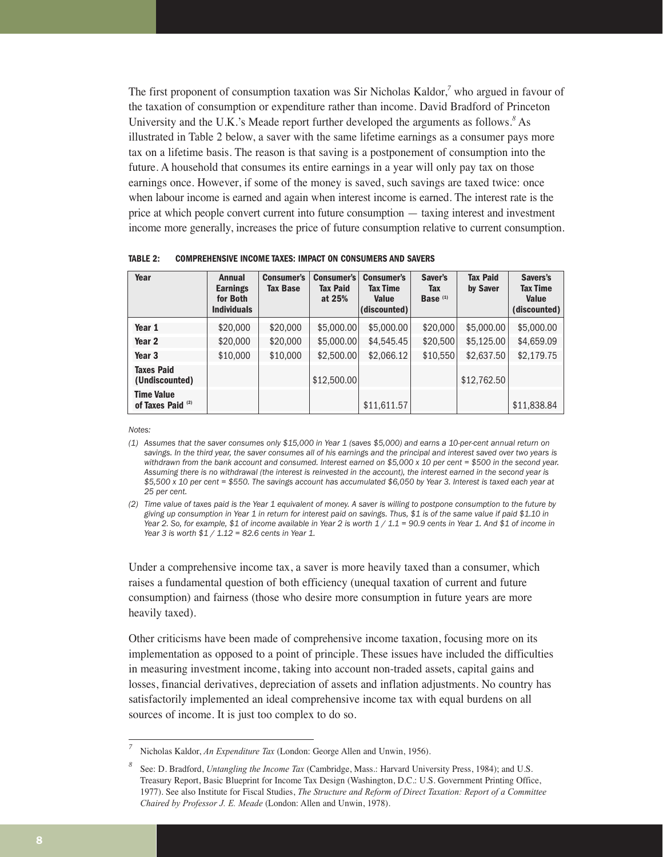The first proponent of consumption taxation was Sir Nicholas Kaldor,*<sup>7</sup>* who argued in favour of the taxation of consumption or expenditure rather than income. David Bradford of Princeton University and the U.K.'s Meade report further developed the arguments as follows.*<sup>8</sup>* As illustrated in Table 2 below, a saver with the same lifetime earnings as a consumer pays more tax on a lifetime basis. The reason is that saving is a postponement of consumption into the future. A household that consumes its entire earnings in a year will only pay tax on those earnings once. However, if some of the money is saved, such savings are taxed twice: once when labour income is earned and again when interest income is earned. The interest rate is the price at which people convert current into future consumption — taxing interest and investment income more generally, increases the price of future consumption relative to current consumption.

**Year 1** | \$20,000 | \$20,000 | \$5,000.00| \$5,000.00| \$5,000.00| \$5,000.00| \$5,000.00 **Year 2** | \$20,000 | \$20,000 | \$5,000.00| \$4,545.45| \$20,500| \$5,125.00| \$4,659.09 **Year 3**  $\vert$  \$10,000  $\vert$  \$10,000  $\vert$  \$2,500.00 \$2,066.12  $\vert$  \$10,550 \$2,637.50 \$2,179.75 **Taxes Paid (Undiscounted)**  $\left| \begin{array}{ccc} \text{ $12,500.00} \end{array} \right|$   $\left| \begin{array}{ccc} \text{ $12,762.50} \end{array} \right|$ **Time Value of Taxes Paid (2)** \$11,611.57 \$11,838.84 **Year Annual Consumer's Consumer's Consumer's Saver's Tax Paid Savers's Earnings Tax Base Tax Paid Tax Time Tax by Saver Tax Time for Both at 25% Value Base (1) Value Individuals (discounted) (discounted)**

**TABLE 2: COMPREHENSIVE INCOME TAXES: IMPACT ON CONSUMERS AND SAVERS**

*Notes:*

*(1) Assumes that the saver consumes only \$15,000 in Year 1 (saves \$5,000) and earns a 10-per-cent annual return on savings. In the third year, the saver consumes all of his earnings and the principal and interest saved over two years is withdrawn from the bank account and consumed. Interest earned on \$5,000 x 10 per cent = \$500 in the second year. Assuming there is no withdrawal (the interest is reinvested in the account), the interest earned in the second year is \$5,500 x 10 per cent = \$550. The savings account has accumulated \$6,050 by Year 3. Interest is taxed each year at 25 per cent.*

*(2) Time value of taxes paid is the Year 1 equivalent of money. A saver is willing to postpone consumption to the future by giving up consumption in Year 1 in return for interest paid on savings. Thus, \$1 is of the same value if paid \$1.10 in Year 2. So, for example, \$1 of income available in Year 2 is worth 1 / 1.1 = 90.9 cents in Year 1. And \$1 of income in Year 3 is worth \$1 / 1.12 = 82.6 cents in Year 1.* 

Under a comprehensive income tax, a saver is more heavily taxed than a consumer, which raises a fundamental question of both efficiency (unequal taxation of current and future consumption) and fairness (those who desire more consumption in future years are more heavily taxed).

Other criticisms have been made of comprehensive income taxation, focusing more on its implementation as opposed to a point of principle. These issues have included the difficulties in measuring investment income, taking into account non-traded assets, capital gains and losses, financial derivatives, depreciation of assets and inflation adjustments. No country has satisfactorily implemented an ideal comprehensive income tax with equal burdens on all sources of income. It is just too complex to do so.

*<sup>7</sup>* Nicholas Kaldor, *An Expenditure Tax* (London: George Allen and Unwin, 1956).

*<sup>8</sup>* See: D. Bradford, *Untangling the Income Tax* (Cambridge, Mass.: Harvard University Press, 1984); and U.S. Treasury Report, Basic Blueprint for Income Tax Design (Washington, D.C.: U.S. Government Printing Office, 1977). See also Institute for Fiscal Studies, *The Structure and Reform of Direct Taxation: Report of a Committee Chaired by Professor J. E. Meade* (London: Allen and Unwin, 1978).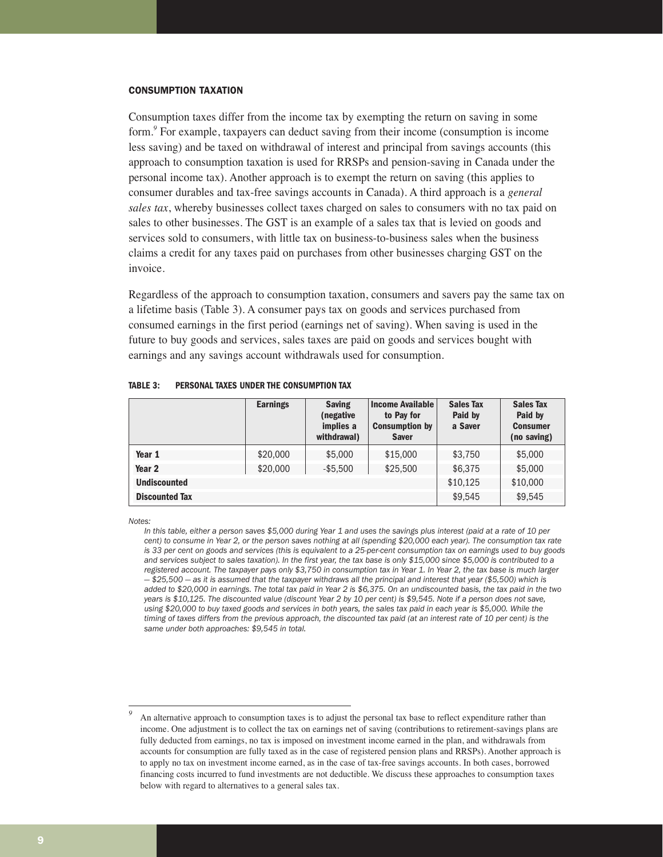#### CONSUMPTION TAXATION

Consumption taxes differ from the income tax by exempting the return on saving in some form.*<sup>9</sup>* For example, taxpayers can deduct saving from their income (consumption is income less saving) and be taxed on withdrawal of interest and principal from savings accounts (this approach to consumption taxation is used for RRSPs and pension-saving in Canada under the personal income tax). Another approach is to exempt the return on saving (this applies to consumer durables and tax-free savings accounts in Canada). A third approach is a *general sales tax*, whereby businesses collect taxes charged on sales to consumers with no tax paid on sales to other businesses. The GST is an example of a sales tax that is levied on goods and services sold to consumers, with little tax on business-to-business sales when the business claims a credit for any taxes paid on purchases from other businesses charging GST on the invoice.

Regardless of the approach to consumption taxation, consumers and savers pay the same tax on a lifetime basis (Table 3). A consumer pays tax on goods and services purchased from consumed earnings in the first period (earnings net of saving). When saving is used in the future to buy goods and services, sales taxes are paid on goods and services bought with earnings and any savings account withdrawals used for consumption.

|                       | <b>Earnings</b> | <b>Saving</b><br>(negative)<br>implies a<br>withdrawal) | <b>Income Available</b><br>to Pay for<br><b>Consumption by</b><br><b>Saver</b> | <b>Sales Tax</b><br>Paid by<br>a Saver | <b>Sales Tax</b><br>Paid by<br><b>Consumer</b><br>(no saving) |  |
|-----------------------|-----------------|---------------------------------------------------------|--------------------------------------------------------------------------------|----------------------------------------|---------------------------------------------------------------|--|
| Year 1                | \$20,000        | \$5,000                                                 | \$15,000                                                                       | \$3,750                                | \$5,000                                                       |  |
| Year <sub>2</sub>     | \$20,000        | $-$ \$5.500                                             | \$25,500                                                                       | \$6,375                                | \$5,000                                                       |  |
| <b>Undiscounted</b>   |                 |                                                         |                                                                                | \$10,125                               | \$10,000                                                      |  |
| <b>Discounted Tax</b> |                 |                                                         |                                                                                | \$9.545                                | \$9,545                                                       |  |

**TABLE 3: PERSONAL TAXES UNDER THE CONSUMPTION TAX**

*Notes:* 

*In this table, either a person saves \$5,000 during Year 1 and uses the savings plus interest (paid at a rate of 10 per cent) to consume in Year 2, or the person saves nothing at all (spending \$20,000 each year). The consumption tax rate is 33 per cent on goods and services (this is equivalent to a 25-per-cent consumption tax on earnings used to buy goods and services subject to sales taxation). In the first year, the tax base is only \$15,000 since \$5,000 is contributed to a registered account. The taxpayer pays only \$3,750 in consumption tax in Year 1. In Year 2, the tax base is much larger — \$25,500 — as it is assumed that the taxpayer withdraws all the principal and interest that year (\$5,500) which is added to \$20,000 in earnings. The total tax paid in Year 2 is \$6,375. On an undiscounted basis, the tax paid in the two years is \$10,125. The discounted value (discount Year 2 by 10 per cent) is \$9,545. Note if a person does not save, using \$20,000 to buy taxed goods and services in both years, the sales tax paid in each year is \$5,000. While the timing of taxes differs from the previous approach, the discounted tax paid (at an interest rate of 10 per cent) is the same under both approaches: \$9,545 in total.* 

An alternative approach to consumption taxes is to adjust the personal tax base to reflect expenditure rather than income. One adjustment is to collect the tax on earnings net of saving (contributions to retirement-savings plans are fully deducted from earnings, no tax is imposed on investment income earned in the plan, and withdrawals from accounts for consumption are fully taxed as in the case of registered pension plans and RRSPs). Another approach is to apply no tax on investment income earned, as in the case of tax-free savings accounts. In both cases, borrowed financing costs incurred to fund investments are not deductible. We discuss these approaches to consumption taxes below with regard to alternatives to a general sales tax.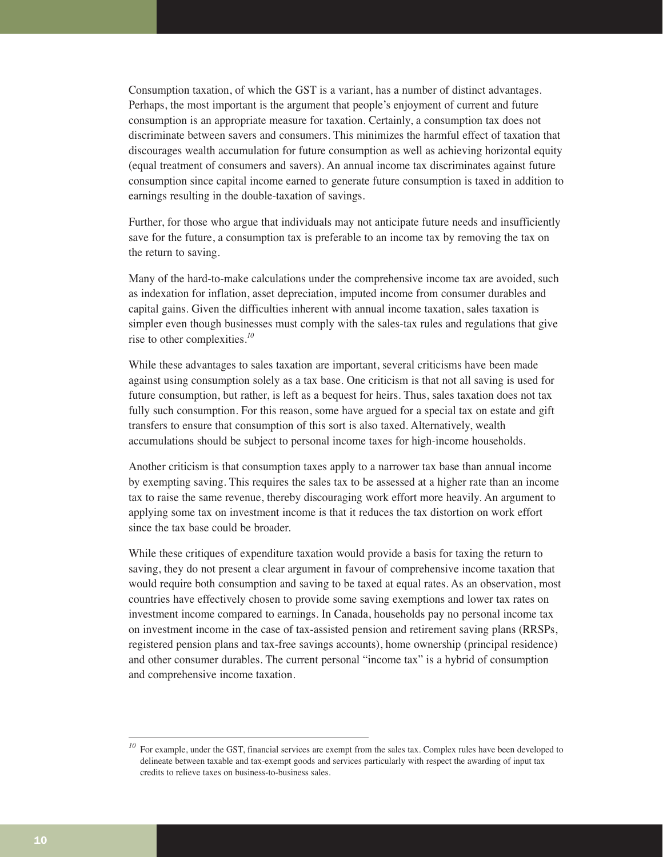Consumption taxation, of which the GST is a variant, has a number of distinct advantages. Perhaps, the most important is the argument that people's enjoyment of current and future consumption is an appropriate measure for taxation. Certainly, a consumption tax does not discriminate between savers and consumers. This minimizes the harmful effect of taxation that discourages wealth accumulation for future consumption as well as achieving horizontal equity (equal treatment of consumers and savers). An annual income tax discriminates against future consumption since capital income earned to generate future consumption is taxed in addition to earnings resulting in the double-taxation of savings.

Further, for those who argue that individuals may not anticipate future needs and insufficiently save for the future, a consumption tax is preferable to an income tax by removing the tax on the return to saving.

Many of the hard-to-make calculations under the comprehensive income tax are avoided, such as indexation for inflation, asset depreciation, imputed income from consumer durables and capital gains. Given the difficulties inherent with annual income taxation, sales taxation is simpler even though businesses must comply with the sales-tax rules and regulations that give rise to other complexities.*<sup>10</sup>*

While these advantages to sales taxation are important, several criticisms have been made against using consumption solely as a tax base. One criticism is that not all saving is used for future consumption, but rather, is left as a bequest for heirs. Thus, sales taxation does not tax fully such consumption. For this reason, some have argued for a special tax on estate and gift transfers to ensure that consumption of this sort is also taxed. Alternatively, wealth accumulations should be subject to personal income taxes for high-income households.

Another criticism is that consumption taxes apply to a narrower tax base than annual income by exempting saving. This requires the sales tax to be assessed at a higher rate than an income tax to raise the same revenue, thereby discouraging work effort more heavily. An argument to applying some tax on investment income is that it reduces the tax distortion on work effort since the tax base could be broader.

While these critiques of expenditure taxation would provide a basis for taxing the return to saving, they do not present a clear argument in favour of comprehensive income taxation that would require both consumption and saving to be taxed at equal rates. As an observation, most countries have effectively chosen to provide some saving exemptions and lower tax rates on investment income compared to earnings. In Canada, households pay no personal income tax on investment income in the case of tax-assisted pension and retirement saving plans (RRSPs, registered pension plans and tax-free savings accounts), home ownership (principal residence) and other consumer durables. The current personal "income tax" is a hybrid of consumption and comprehensive income taxation.

<sup>&</sup>lt;sup>10</sup> For example, under the GST, financial services are exempt from the sales tax. Complex rules have been developed to delineate between taxable and tax-exempt goods and services particularly with respect the awarding of input tax credits to relieve taxes on business-to-business sales.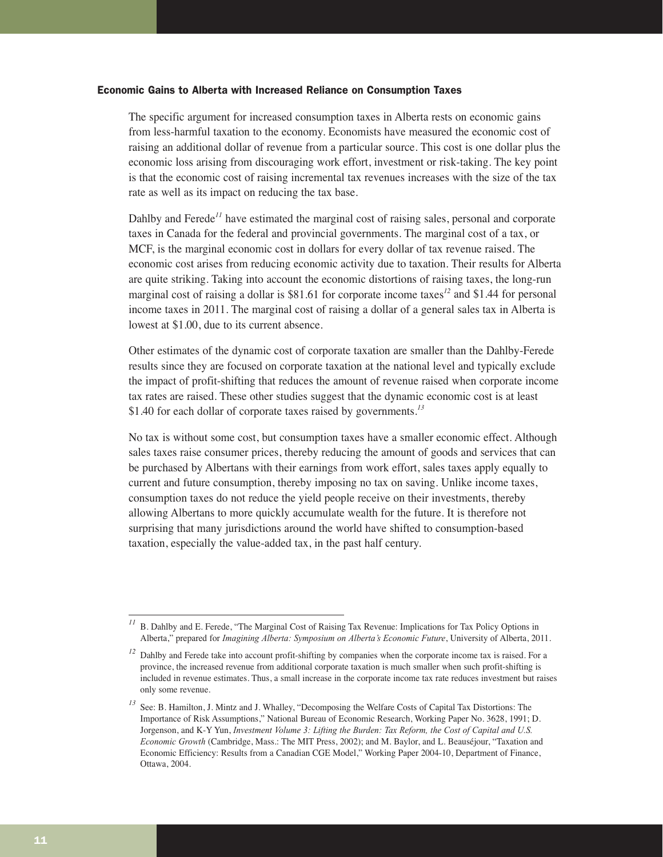#### Economic Gains to Alberta with Increased Reliance on Consumption Taxes

The specific argument for increased consumption taxes in Alberta rests on economic gains from less-harmful taxation to the economy. Economists have measured the economic cost of raising an additional dollar of revenue from a particular source. This cost is one dollar plus the economic loss arising from discouraging work effort, investment or risk-taking. The key point is that the economic cost of raising incremental tax revenues increases with the size of the tax rate as well as its impact on reducing the tax base.

Dahlby and Ferede<sup>11</sup> have estimated the marginal cost of raising sales, personal and corporate taxes in Canada for the federal and provincial governments. The marginal cost of a tax, or MCF, is the marginal economic cost in dollars for every dollar of tax revenue raised. The economic cost arises from reducing economic activity due to taxation. Their results for Alberta are quite striking. Taking into account the economic distortions of raising taxes, the long-run marginal cost of raising a dollar is \$81.61 for corporate income taxes*<sup>12</sup>* and \$1.44 for personal income taxes in 2011. The marginal cost of raising a dollar of a general sales tax in Alberta is lowest at \$1.00, due to its current absence.

Other estimates of the dynamic cost of corporate taxation are smaller than the Dahlby-Ferede results since they are focused on corporate taxation at the national level and typically exclude the impact of profit-shifting that reduces the amount of revenue raised when corporate income tax rates are raised. These other studies suggest that the dynamic economic cost is at least \$1.40 for each dollar of corporate taxes raised by governments.*<sup>13</sup>*

No tax is without some cost, but consumption taxes have a smaller economic effect. Although sales taxes raise consumer prices, thereby reducing the amount of goods and services that can be purchased by Albertans with their earnings from work effort, sales taxes apply equally to current and future consumption, thereby imposing no tax on saving. Unlike income taxes, consumption taxes do not reduce the yield people receive on their investments, thereby allowing Albertans to more quickly accumulate wealth for the future. It is therefore not surprising that many jurisdictions around the world have shifted to consumption-based taxation, especially the value-added tax, in the past half century.

*<sup>11</sup>* B. Dahlby and E. Ferede, "The Marginal Cost of Raising Tax Revenue: Implications for Tax Policy Options in Alberta," prepared for *Imagining Alberta: Symposium on Alberta's Economic Future*, University of Alberta, 2011.

<sup>&</sup>lt;sup>12</sup> Dahlby and Ferede take into account profit-shifting by companies when the corporate income tax is raised. For a province, the increased revenue from additional corporate taxation is much smaller when such profit-shifting is included in revenue estimates. Thus, a small increase in the corporate income tax rate reduces investment but raises only some revenue.

*<sup>13</sup>* See: B. Hamilton, J. Mintz and J. Whalley, "Decomposing the Welfare Costs of Capital Tax Distortions: The Importance of Risk Assumptions," National Bureau of Economic Research, Working Paper No. 3628, 1991; D. Jorgenson, and K-Y Yun, *Investment Volume 3: Lifting the Burden: Tax Reform, the Cost of Capital and U.S. Economic Growth* (Cambridge, Mass.: The MIT Press, 2002); and M. Baylor, and L. Beauséjour, "Taxation and Economic Efficiency: Results from a Canadian CGE Model," Working Paper 2004-10, Department of Finance, Ottawa, 2004.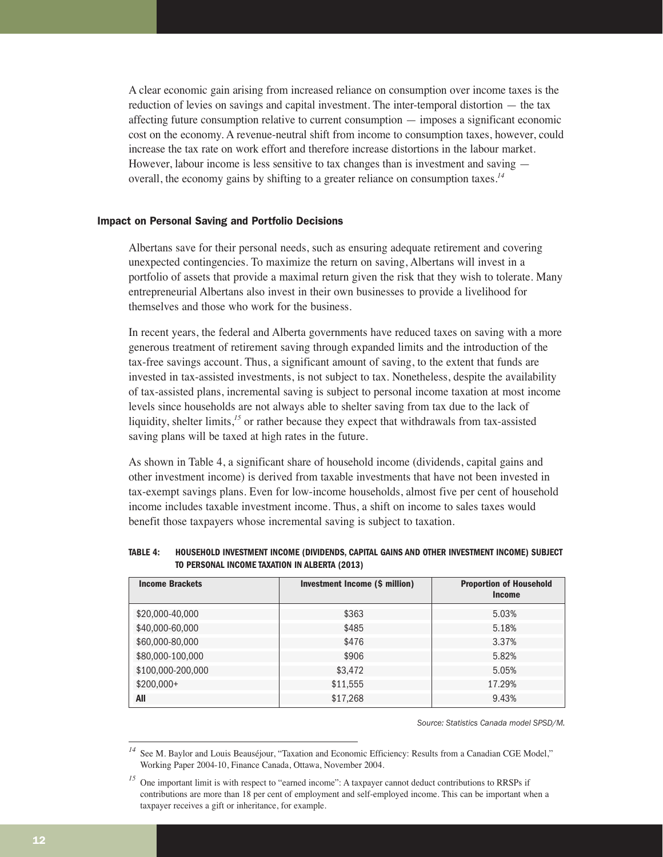A clear economic gain arising from increased reliance on consumption over income taxes is the reduction of levies on savings and capital investment. The inter-temporal distortion — the tax affecting future consumption relative to current consumption — imposes a significant economic cost on the economy. A revenue-neutral shift from income to consumption taxes, however, could increase the tax rate on work effort and therefore increase distortions in the labour market. However, labour income is less sensitive to tax changes than is investment and saving overall, the economy gains by shifting to a greater reliance on consumption taxes.*<sup>14</sup>*

#### Impact on Personal Saving and Portfolio Decisions

Albertans save for their personal needs, such as ensuring adequate retirement and covering unexpected contingencies. To maximize the return on saving, Albertans will invest in a portfolio of assets that provide a maximal return given the risk that they wish to tolerate. Many entrepreneurial Albertans also invest in their own businesses to provide a livelihood for themselves and those who work for the business.

In recent years, the federal and Alberta governments have reduced taxes on saving with a more generous treatment of retirement saving through expanded limits and the introduction of the tax-free savings account. Thus, a significant amount of saving, to the extent that funds are invested in tax-assisted investments, is not subject to tax. Nonetheless, despite the availability of tax-assisted plans, incremental saving is subject to personal income taxation at most income levels since households are not always able to shelter saving from tax due to the lack of liquidity, shelter limits,*<sup>15</sup>* or rather because they expect that withdrawals from tax-assisted saving plans will be taxed at high rates in the future.

As shown in Table 4, a significant share of household income (dividends, capital gains and other investment income) is derived from taxable investments that have not been invested in tax-exempt savings plans. Even for low-income households, almost five per cent of household income includes taxable investment income. Thus, a shift on income to sales taxes would benefit those taxpayers whose incremental saving is subject to taxation.

| <b>TABLE 4:</b> | HOUSEHOLD INVESTMENT INCOME (DIVIDENDS, CAPITAL GAINS AND OTHER INVESTMENT INCOME) SUBJECT |
|-----------------|--------------------------------------------------------------------------------------------|
|                 | TO PERSONAL INCOME TAXATION IN ALBERTA (2013)                                              |

| <b>Income Brackets</b> | Investment Income (\$ million) | <b>Proportion of Household</b><br><b>Income</b> |
|------------------------|--------------------------------|-------------------------------------------------|
| \$20,000-40,000        | \$363                          | 5.03%                                           |
| \$40,000-60,000        | \$485                          | 5.18%                                           |
| \$60,000-80,000        | \$476                          | 3.37%                                           |
| \$80,000-100,000       | \$906                          | 5.82%                                           |
| \$100,000-200,000      | \$3,472                        | 5.05%                                           |
| \$200,000+             | \$11,555                       | 17.29%                                          |
| All                    | \$17,268                       | 9.43%                                           |

*Source: Statistics Canada model SPSD/M.*

See M. Baylor and Louis Beauséjour, "Taxation and Economic Efficiency: Results from a Canadian CGE Model," Working Paper 2004-10, Finance Canada, Ottawa, November 2004.

<sup>&</sup>lt;sup>15</sup> One important limit is with respect to "earned income": A taxpayer cannot deduct contributions to RRSPs if contributions are more than 18 per cent of employment and self-employed income. This can be important when a taxpayer receives a gift or inheritance, for example.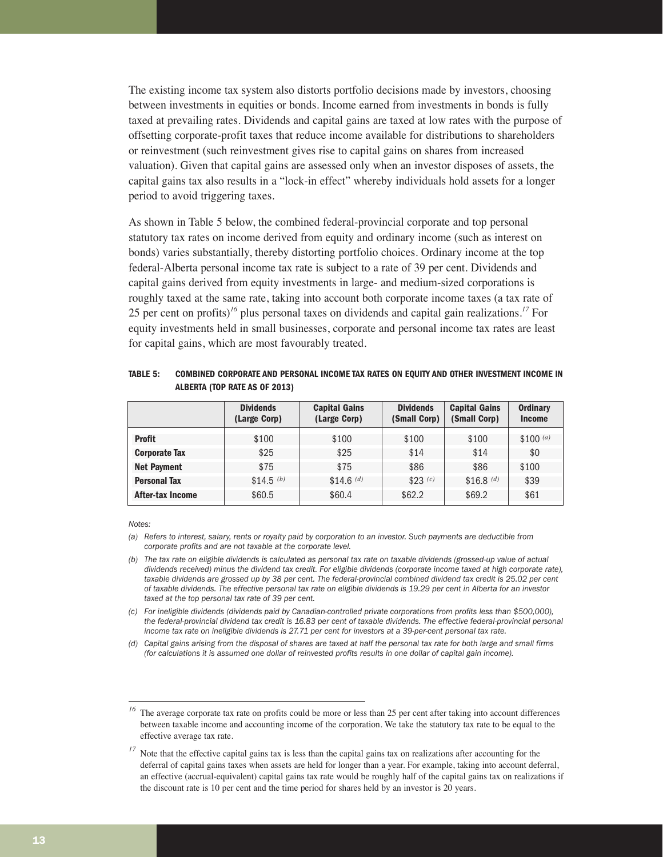The existing income tax system also distorts portfolio decisions made by investors, choosing between investments in equities or bonds. Income earned from investments in bonds is fully taxed at prevailing rates. Dividends and capital gains are taxed at low rates with the purpose of offsetting corporate-profit taxes that reduce income available for distributions to shareholders or reinvestment (such reinvestment gives rise to capital gains on shares from increased valuation). Given that capital gains are assessed only when an investor disposes of assets, the capital gains tax also results in a "lock-in effect" whereby individuals hold assets for a longer period to avoid triggering taxes.

As shown in Table 5 below, the combined federal-provincial corporate and top personal statutory tax rates on income derived from equity and ordinary income (such as interest on bonds) varies substantially, thereby distorting portfolio choices. Ordinary income at the top federal-Alberta personal income tax rate is subject to a rate of 39 per cent. Dividends and capital gains derived from equity investments in large- and medium-sized corporations is roughly taxed at the same rate, taking into account both corporate income taxes (a tax rate of 25 per cent on profits)*<sup>16</sup>* plus personal taxes on dividends and capital gain realizations.*<sup>17</sup>* For equity investments held in small businesses, corporate and personal income tax rates are least for capital gains, which are most favourably treated.

**TABLE 5: COMBINED CORPORATE AND PERSONAL INCOME TAX RATES ON EQUITY AND OTHER INVESTMENT INCOME IN ALBERTA (TOP RATE AS OF 2013)**

|                      | <b>Dividends</b><br>(Large Corp) | <b>Capital Gains</b><br>(Large Corp) | <b>Dividends</b><br>(Small Corp) | <b>Capital Gains</b><br>(Small Corp) | <b>Ordinary</b><br><b>Income</b> |
|----------------------|----------------------------------|--------------------------------------|----------------------------------|--------------------------------------|----------------------------------|
| <b>Profit</b>        | \$100                            | \$100                                | \$100                            | \$100                                | $$100^{(a)}$                     |
| <b>Corporate Tax</b> | \$25                             | \$25                                 | \$14                             | \$14                                 | \$0                              |
| <b>Net Payment</b>   | \$75                             | \$75                                 | \$86                             | \$86                                 | \$100                            |
| <b>Personal Tax</b>  | $$14.5^{(b)}$                    | $$14.6$$ (d)                         | $$23$ (c)                        | $$16.8$ (d)                          | \$39                             |
| After-tax Income     | \$60.5                           | \$60.4                               | \$62.2                           | \$69.2                               | \$61                             |

*Notes:* 

*<sup>(</sup>a) Refers to interest, salary, rents or royalty paid by corporation to an investor. Such payments are deductible from corporate profits and are not taxable at the corporate level.*

*<sup>(</sup>b) The tax rate on eligible dividends is calculated as personal tax rate on taxable dividends (grossed-up value of actual dividends received) minus the dividend tax credit. For eligible dividends (corporate income taxed at high corporate rate), taxable dividends are grossed up by 38 per cent. The federal-provincial combined dividend tax credit is 25.02 per cent of taxable dividends. The effective personal tax rate on eligible dividends is 19.29 per cent in Alberta for an investor taxed at the top personal tax rate of 39 per cent.* 

*<sup>(</sup>c) For ineligible dividends (dividends paid by Canadian-controlled private corporations from profits less than \$500,000), the federal-provincial dividend tax credit is 16.83 per cent of taxable dividends. The effective federal-provincial personal income tax rate on ineligible dividends is 27.71 per cent for investors at a 39-per-cent personal tax rate.* 

*<sup>(</sup>d) Capital gains arising from the disposal of shares are taxed at half the personal tax rate for both large and small firms (for calculations it is assumed one dollar of reinvested profits results in one dollar of capital gain income).* 

<sup>&</sup>lt;sup>16</sup> The average corporate tax rate on profits could be more or less than 25 per cent after taking into account differences between taxable income and accounting income of the corporation. We take the statutory tax rate to be equal to the effective average tax rate.

<sup>&</sup>lt;sup>17</sup> Note that the effective capital gains tax is less than the capital gains tax on realizations after accounting for the deferral of capital gains taxes when assets are held for longer than a year. For example, taking into account deferral, an effective (accrual-equivalent) capital gains tax rate would be roughly half of the capital gains tax on realizations if the discount rate is 10 per cent and the time period for shares held by an investor is 20 years.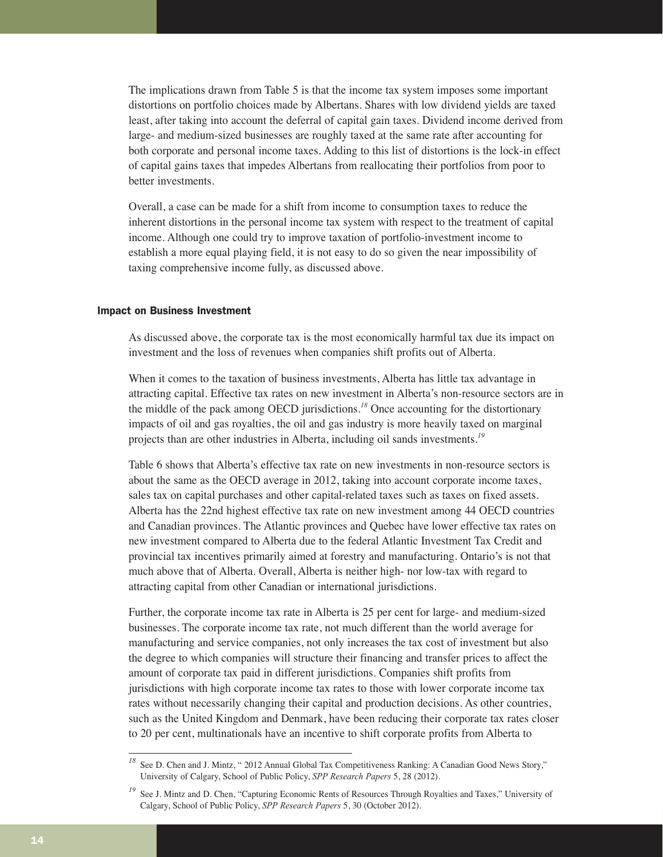The implications drawn from Table 5 is that the income tax system imposes some important distortions on portfolio choices made by Albertans. Shares with low dividend yields are taxed least, after taking into account the deferral of capital gain taxes. Dividend income derived from large- and medium-sized businesses are roughly taxed at the same rate after accounting for both corporate and personal income taxes. Adding to this list of distortions is the lock-in effect of capital gains taxes that impedes Albertans from reallocating their portfolios from poor to better investments.

Overall, a case can be made for a shift from income to consumption taxes to reduce the inherent distortions in the personal income tax system with respect to the treatment of capital income. Although one could try to improve taxation of portfolio-investment income to establish a more equal playing field, it is not easy to do so given the near impossibility of taxing comprehensive income fully, as discussed above.

#### Impact on Business Investment

As discussed above, the corporate tax is the most economically harmful tax due its impact on investment and the loss of revenues when companies shift profits out of Alberta.

When it comes to the taxation of business investments, Alberta has little tax advantage in attracting capital. Effective tax rates on new investment in Alberta's non-resource sectors are in the middle of the pack among OECD jurisdictions.*<sup>18</sup>* Once accounting for the distortionary impacts of oil and gas royalties, the oil and gas industry is more heavily taxed on marginal projects than are other industries in Alberta, including oil sands investments.*<sup>19</sup>*

Table 6 shows that Alberta's effective tax rate on new investments in non-resource sectors is about the same as the OECD average in 2012, taking into account corporate income taxes, sales tax on capital purchases and other capital-related taxes such as taxes on fixed assets. Alberta has the 22nd highest effective tax rate on new investment among 44 OECD countries and Canadian provinces. The Atlantic provinces and Quebec have lower effective tax rates on new investment compared to Alberta due to the federal Atlantic Investment Tax Credit and provincial tax incentives primarily aimed at forestry and manufacturing. Ontario's is not that much above that of Alberta. Overall, Alberta is neither high- nor low-tax with regard to attracting capital from other Canadian or international jurisdictions.

Further, the corporate income tax rate in Alberta is 25 per cent for large- and medium-sized businesses. The corporate income tax rate, not much different than the world average for manufacturing and service companies, not only increases the tax cost of investment but also the degree to which companies will structure their financing and transfer prices to affect the amount of corporate tax paid in different jurisdictions. Companies shift profits from jurisdictions with high corporate income tax rates to those with lower corporate income tax rates without necessarily changing their capital and production decisions. As other countries, such as the United Kingdom and Denmark, have been reducing their corporate tax rates closer to 20 per cent, multinationals have an incentive to shift corporate profits from Alberta to

<sup>&</sup>lt;sup>18</sup> See D. Chen and J. Mintz, " 2012 Annual Global Tax Competitiveness Ranking: A Canadian Good News Story," University of Calgary, School of Public Policy, *SPP Research Papers* 5, 28 (2012).

See J. Mintz and D. Chen, "Capturing Economic Rents of Resources Through Royalties and Taxes," University of Calgary, School of Public Policy, *SPP Research Papers* 5, 30 (October 2012).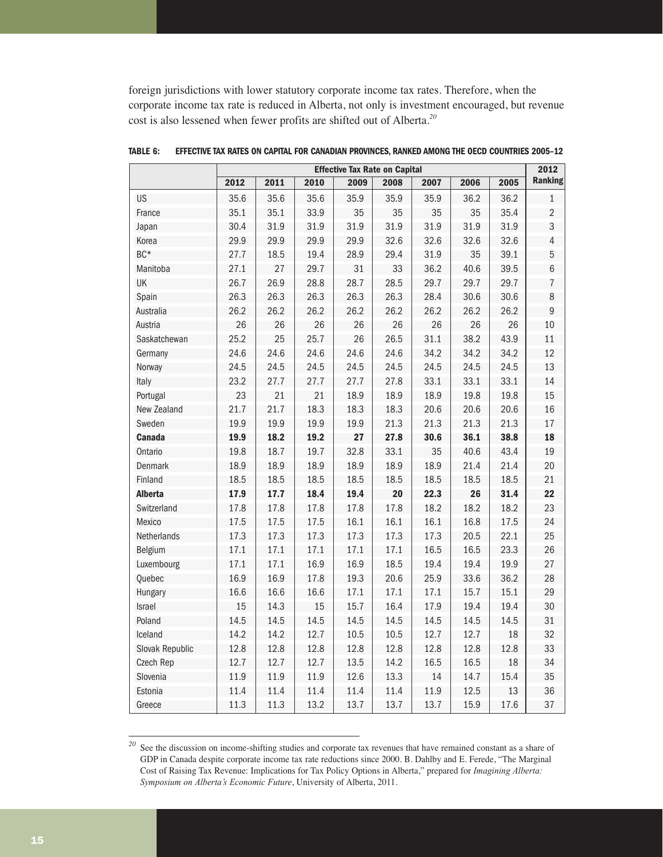foreign jurisdictions with lower statutory corporate income tax rates. Therefore, when the corporate income tax rate is reduced in Alberta, not only is investment encouraged, but revenue cost is also lessened when fewer profits are shifted out of Alberta.*<sup>20</sup>*

|                 | <b>Effective Tax Rate on Capital</b> |      |      |      |      |      |      |      |                |
|-----------------|--------------------------------------|------|------|------|------|------|------|------|----------------|
|                 | 2012                                 | 2011 | 2010 | 2009 | 2008 | 2007 | 2006 | 2005 | <b>Ranking</b> |
| US              | 35.6                                 | 35.6 | 35.6 | 35.9 | 35.9 | 35.9 | 36.2 | 36.2 | $\mathbf{1}$   |
| France          | 35.1                                 | 35.1 | 33.9 | 35   | 35   | 35   | 35   | 35.4 | $\overline{2}$ |
| Japan           | 30.4                                 | 31.9 | 31.9 | 31.9 | 31.9 | 31.9 | 31.9 | 31.9 | 3              |
| Korea           | 29.9                                 | 29.9 | 29.9 | 29.9 | 32.6 | 32.6 | 32.6 | 32.6 | $\sqrt{4}$     |
| BC*             | 27.7                                 | 18.5 | 19.4 | 28.9 | 29.4 | 31.9 | 35   | 39.1 | 5              |
| Manitoba        | 27.1                                 | 27   | 29.7 | 31   | 33   | 36.2 | 40.6 | 39.5 | $6\,$          |
| UK              | 26.7                                 | 26.9 | 28.8 | 28.7 | 28.5 | 29.7 | 29.7 | 29.7 | $\overline{7}$ |
| Spain           | 26.3                                 | 26.3 | 26.3 | 26.3 | 26.3 | 28.4 | 30.6 | 30.6 | $\,8\,$        |
| Australia       | 26.2                                 | 26.2 | 26.2 | 26.2 | 26.2 | 26.2 | 26.2 | 26.2 | 9              |
| Austria         | 26                                   | 26   | 26   | 26   | 26   | 26   | 26   | 26   | 10             |
| Saskatchewan    | 25.2                                 | 25   | 25.7 | 26   | 26.5 | 31.1 | 38.2 | 43.9 | 11             |
| Germany         | 24.6                                 | 24.6 | 24.6 | 24.6 | 24.6 | 34.2 | 34.2 | 34.2 | 12             |
| Norway          | 24.5                                 | 24.5 | 24.5 | 24.5 | 24.5 | 24.5 | 24.5 | 24.5 | 13             |
| Italy           | 23.2                                 | 27.7 | 27.7 | 27.7 | 27.8 | 33.1 | 33.1 | 33.1 | 14             |
| Portugal        | 23                                   | 21   | 21   | 18.9 | 18.9 | 18.9 | 19.8 | 19.8 | 15             |
| New Zealand     | 21.7                                 | 21.7 | 18.3 | 18.3 | 18.3 | 20.6 | 20.6 | 20.6 | 16             |
| Sweden          | 19.9                                 | 19.9 | 19.9 | 19.9 | 21.3 | 21.3 | 21.3 | 21.3 | 17             |
| <b>Canada</b>   | 19.9                                 | 18.2 | 19.2 | 27   | 27.8 | 30.6 | 36.1 | 38.8 | 18             |
| Ontario         | 19.8                                 | 18.7 | 19.7 | 32.8 | 33.1 | 35   | 40.6 | 43.4 | 19             |
| Denmark         | 18.9                                 | 18.9 | 18.9 | 18.9 | 18.9 | 18.9 | 21.4 | 21.4 | 20             |
| Finland         | 18.5                                 | 18.5 | 18.5 | 18.5 | 18.5 | 18.5 | 18.5 | 18.5 | 21             |
| <b>Alberta</b>  | 17.9                                 | 17.7 | 18.4 | 19.4 | 20   | 22.3 | 26   | 31.4 | 22             |
| Switzerland     | 17.8                                 | 17.8 | 17.8 | 17.8 | 17.8 | 18.2 | 18.2 | 18.2 | 23             |
| Mexico          | 17.5                                 | 17.5 | 17.5 | 16.1 | 16.1 | 16.1 | 16.8 | 17.5 | 24             |
| Netherlands     | 17.3                                 | 17.3 | 17.3 | 17.3 | 17.3 | 17.3 | 20.5 | 22.1 | 25             |
| Belgium         | 17.1                                 | 17.1 | 17.1 | 17.1 | 17.1 | 16.5 | 16.5 | 23.3 | 26             |
| Luxembourg      | 17.1                                 | 17.1 | 16.9 | 16.9 | 18.5 | 19.4 | 19.4 | 19.9 | 27             |
| Quebec          | 16.9                                 | 16.9 | 17.8 | 19.3 | 20.6 | 25.9 | 33.6 | 36.2 | 28             |
| <b>Hungary</b>  | 16.6                                 | 16.6 | 16.6 | 17.1 | 17.1 | 17.1 | 15.7 | 15.1 | 29             |
| Israel          | 15                                   | 14.3 | 15   | 15.7 | 16.4 | 17.9 | 19.4 | 19.4 | 30             |
| Poland          | 14.5                                 | 14.5 | 14.5 | 14.5 | 14.5 | 14.5 | 14.5 | 14.5 | 31             |
| Iceland         | 14.2                                 | 14.2 | 12.7 | 10.5 | 10.5 | 12.7 | 12.7 | 18   | 32             |
| Slovak Republic | 12.8                                 | 12.8 | 12.8 | 12.8 | 12.8 | 12.8 | 12.8 | 12.8 | 33             |
| Czech Rep       | 12.7                                 | 12.7 | 12.7 | 13.5 | 14.2 | 16.5 | 16.5 | 18   | 34             |
| Slovenia        | 11.9                                 | 11.9 | 11.9 | 12.6 | 13.3 | 14   | 14.7 | 15.4 | 35             |
| Estonia         | 11.4                                 | 11.4 | 11.4 | 11.4 | 11.4 | 11.9 | 12.5 | 13   | 36             |
| Greece          | 11.3                                 | 11.3 | 13.2 | 13.7 | 13.7 | 13.7 | 15.9 | 17.6 | 37             |

**TABLE 6: EFFECTIVE TAX RATES ON CAPITAL FOR CANADIAN PROVINCES, RANKED AMONG THE OECD COUNTRIES 2005–12**

<sup>&</sup>lt;sup>20</sup> See the discussion on income-shifting studies and corporate tax revenues that have remained constant as a share of GDP in Canada despite corporate income tax rate reductions since 2000. B. Dahlby and E. Ferede, "The Marginal Cost of Raising Tax Revenue: Implications for Tax Policy Options in Alberta," prepared for *Imagining Alberta: Symposium on Alberta's Economic Future*, University of Alberta, 2011.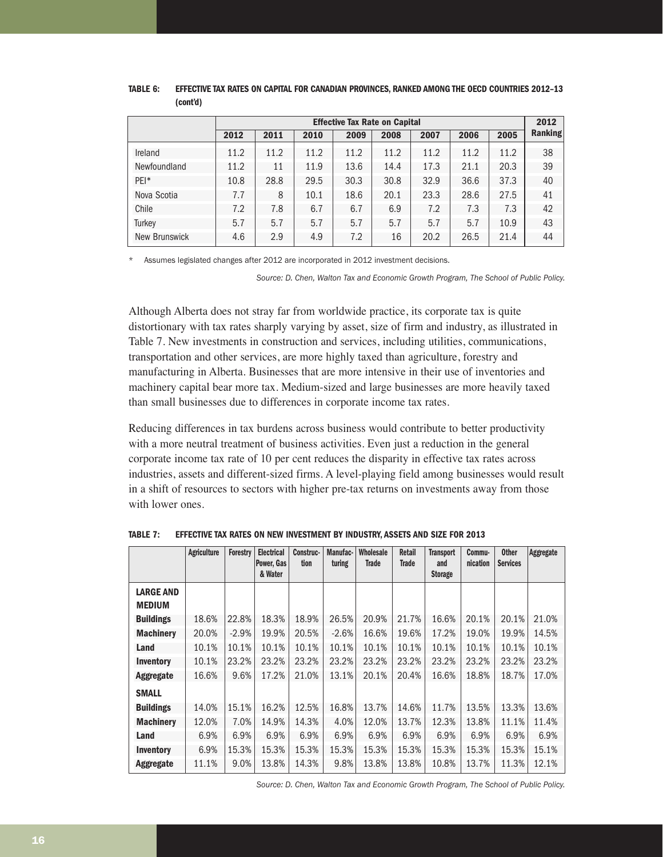|               | <b>Effective Tax Rate on Capital</b> |      |      |      |      |      |      |      |                |  |
|---------------|--------------------------------------|------|------|------|------|------|------|------|----------------|--|
|               | 2012                                 | 2011 | 2010 | 2009 | 2008 | 2007 | 2006 | 2005 | <b>Ranking</b> |  |
| Ireland       | 11.2                                 | 11.2 | 11.2 | 11.2 | 11.2 | 11.2 | 11.2 | 11.2 | 38             |  |
| Newfoundland  | 11.2                                 | 11   | 11.9 | 13.6 | 14.4 | 17.3 | 21.1 | 20.3 | 39             |  |
| PEI*          | 10.8                                 | 28.8 | 29.5 | 30.3 | 30.8 | 32.9 | 36.6 | 37.3 | 40             |  |
| Nova Scotia   | 7.7                                  | 8    | 10.1 | 18.6 | 20.1 | 23.3 | 28.6 | 27.5 | 41             |  |
| Chile         | 7.2                                  | 7.8  | 6.7  | 6.7  | 6.9  | 7.2  | 7.3  | 7.3  | 42             |  |
| Turkey        | 5.7                                  | 5.7  | 5.7  | 5.7  | 5.7  | 5.7  | 5.7  | 10.9 | 43             |  |
| New Brunswick | 4.6                                  | 2.9  | 4.9  | 7.2  | 16   | 20.2 | 26.5 | 21.4 | 44             |  |

#### **TABLE 6: EFFECTIVE TAX RATES ON CAPITAL FOR CANADIAN PROVINCES, RANKED AMONG THE OECD COUNTRIES 2012–13 (cont'd)**

Assumes legislated changes after 2012 are incorporated in 2012 investment decisions.

*Source: D. Chen, Walton Tax and Economic Growth Program, The School of Public Policy.*

Although Alberta does not stray far from worldwide practice, its corporate tax is quite distortionary with tax rates sharply varying by asset, size of firm and industry, as illustrated in Table 7. New investments in construction and services, including utilities, communications, transportation and other services, are more highly taxed than agriculture, forestry and manufacturing in Alberta. Businesses that are more intensive in their use of inventories and machinery capital bear more tax. Medium-sized and large businesses are more heavily taxed than small businesses due to differences in corporate income tax rates.

Reducing differences in tax burdens across business would contribute to better productivity with a more neutral treatment of business activities. Even just a reduction in the general corporate income tax rate of 10 per cent reduces the disparity in effective tax rates across industries, assets and different-sized firms. A level-playing field among businesses would result in a shift of resources to sectors with higher pre-tax returns on investments away from those with lower ones.

|                                   | <b>Agriculture</b> | <b>Forestry</b> | <b>Electrical</b><br>Power, Gas | Construc-<br>tion | Manufac-<br>turing | Wholesale<br><b>Trade</b> | <b>Retail</b><br><b>Trade</b> | <b>Transport</b><br>and | Commu-<br>nication | <b>Other</b><br><b>Services</b> | <b>Aggregate</b> |
|-----------------------------------|--------------------|-----------------|---------------------------------|-------------------|--------------------|---------------------------|-------------------------------|-------------------------|--------------------|---------------------------------|------------------|
|                                   |                    |                 | & Water                         |                   |                    |                           |                               | <b>Storage</b>          |                    |                                 |                  |
| <b>LARGE AND</b><br><b>MEDIUM</b> |                    |                 |                                 |                   |                    |                           |                               |                         |                    |                                 |                  |
| <b>Buildings</b>                  | 18.6%              | 22.8%           | 18.3%                           | 18.9%             | 26.5%              | 20.9%                     | 21.7%                         | 16.6%                   | 20.1%              | 20.1%                           | 21.0%            |
| <b>Machinery</b>                  | 20.0%              | $-2.9%$         | 19.9%                           | 20.5%             | $-2.6%$            | 16.6%                     | 19.6%                         | 17.2%                   | 19.0%              | 19.9%                           | 14.5%            |
| Land                              | 10.1%              | 10.1%           | 10.1%                           | 10.1%             | 10.1%              | 10.1%                     | 10.1%                         | 10.1%                   | 10.1%              | 10.1%                           | 10.1%            |
| <b>Inventory</b>                  | 10.1%              | 23.2%           | 23.2%                           | 23.2%             | 23.2%              | 23.2%                     | 23.2%                         | 23.2%                   | 23.2%              | 23.2%                           | 23.2%            |
| Aggregate                         | 16.6%              | 9.6%            | 17.2%                           | 21.0%             | 13.1%              | 20.1%                     | 20.4%                         | 16.6%                   | 18.8%              | 18.7%                           | 17.0%            |
| <b>SMALL</b>                      |                    |                 |                                 |                   |                    |                           |                               |                         |                    |                                 |                  |
| <b>Buildings</b>                  | 14.0%              | 15.1%           | 16.2%                           | 12.5%             | 16.8%              | 13.7%                     | 14.6%                         | 11.7%                   | 13.5%              | 13.3%                           | 13.6%            |
| <b>Machinery</b>                  | 12.0%              | 7.0%            | 14.9%                           | 14.3%             | 4.0%               | 12.0%                     | 13.7%                         | 12.3%                   | 13.8%              | 11.1%                           | 11.4%            |
| Land                              | 6.9%               | 6.9%            | 6.9%                            | 6.9%              | 6.9%               | 6.9%                      | 6.9%                          | 6.9%                    | 6.9%               | 6.9%                            | 6.9%             |
| <b>Inventory</b>                  | 6.9%               | 15.3%           | 15.3%                           | 15.3%             | 15.3%              | 15.3%                     | 15.3%                         | 15.3%                   | 15.3%              | 15.3%                           | 15.1%            |
| Aggregate                         | 11.1%              | 9.0%            | 13.8%                           | 14.3%             | 9.8%               | 13.8%                     | 13.8%                         | 10.8%                   | 13.7%              | 11.3%                           | 12.1%            |

**TABLE 7: EFFECTIVE TAX RATES ON NEW INVESTMENT BY INDUSTRY, ASSETS AND SIZE FOR 2013**

*Source: D. Chen, Walton Tax and Economic Growth Program, The School of Public Policy.*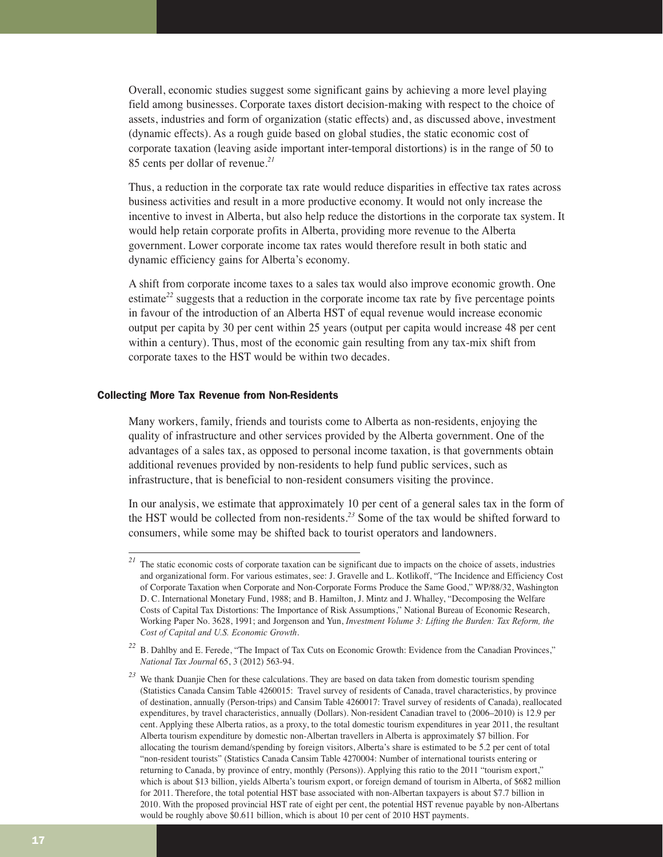Overall, economic studies suggest some significant gains by achieving a more level playing field among businesses. Corporate taxes distort decision-making with respect to the choice of assets, industries and form of organization (static effects) and, as discussed above, investment (dynamic effects). As a rough guide based on global studies, the static economic cost of corporate taxation (leaving aside important inter-temporal distortions) is in the range of 50 to 85 cents per dollar of revenue.*<sup>21</sup>*

Thus, a reduction in the corporate tax rate would reduce disparities in effective tax rates across business activities and result in a more productive economy. It would not only increase the incentive to invest in Alberta, but also help reduce the distortions in the corporate tax system. It would help retain corporate profits in Alberta, providing more revenue to the Alberta government. Lower corporate income tax rates would therefore result in both static and dynamic efficiency gains for Alberta's economy.

A shift from corporate income taxes to a sales tax would also improve economic growth. One estimate<sup>22</sup> suggests that a reduction in the corporate income tax rate by five percentage points in favour of the introduction of an Alberta HST of equal revenue would increase economic output per capita by 30 per cent within 25 years (output per capita would increase 48 per cent within a century). Thus, most of the economic gain resulting from any tax-mix shift from corporate taxes to the HST would be within two decades.

#### Collecting More Tax Revenue from Non-Residents

Many workers, family, friends and tourists come to Alberta as non-residents, enjoying the quality of infrastructure and other services provided by the Alberta government. One of the advantages of a sales tax, as opposed to personal income taxation, is that governments obtain additional revenues provided by non-residents to help fund public services, such as infrastructure, that is beneficial to non-resident consumers visiting the province.

In our analysis, we estimate that approximately 10 per cent of a general sales tax in the form of the HST would be collected from non-residents.*<sup>23</sup>* Some of the tax would be shifted forward to consumers, while some may be shifted back to tourist operators and landowners.

<sup>&</sup>lt;sup>21</sup> The static economic costs of corporate taxation can be significant due to impacts on the choice of assets, industries and organizational form. For various estimates, see: J. Gravelle and L. Kotlikoff, "The Incidence and Efficiency Cost of Corporate Taxation when Corporate and Non-Corporate Forms Produce the Same Good," WP/88/32, Washington D. C. International Monetary Fund, 1988; and B. Hamilton, J. Mintz and J. Whalley, "Decomposing the Welfare Costs of Capital Tax Distortions: The Importance of Risk Assumptions," National Bureau of Economic Research, Working Paper No. 3628, 1991; and Jorgenson and Yun, *Investment Volume 3: Lifting the Burden: Tax Reform, the Cost of Capital and U.S. Economic Growth*.

<sup>&</sup>lt;sup>22</sup> B. Dahlby and E. Ferede, "The Impact of Tax Cuts on Economic Growth: Evidence from the Canadian Provinces," *National Tax Journal* 65, 3 (2012) 563-94.

*<sup>23</sup>* We thank Duanjie Chen for these calculations. They are based on data taken from domestic tourism spending (Statistics Canada Cansim Table 4260015: Travel survey of residents of Canada, travel characteristics, by province of destination, annually (Person-trips) and Cansim Table 4260017: Travel survey of residents of Canada), reallocated expenditures, by travel characteristics, annually (Dollars). Non-resident Canadian travel to (2006–2010) is 12.9 per cent. Applying these Alberta ratios, as a proxy, to the total domestic tourism expenditures in year 2011, the resultant Alberta tourism expenditure by domestic non-Albertan travellers in Alberta is approximately \$7 billion. For allocating the tourism demand/spending by foreign visitors, Alberta's share is estimated to be 5.2 per cent of total "non-resident tourists" (Statistics Canada Cansim Table 4270004: Number of international tourists entering or returning to Canada, by province of entry, monthly (Persons)). Applying this ratio to the 2011 "tourism export," which is about \$13 billion, yields Alberta's tourism export, or foreign demand of tourism in Alberta, of \$682 million for 2011. Therefore, the total potential HST base associated with non-Albertan taxpayers is about \$7.7 billion in 2010. With the proposed provincial HST rate of eight per cent, the potential HST revenue payable by non-Albertans would be roughly above \$0.611 billion, which is about 10 per cent of 2010 HST payments.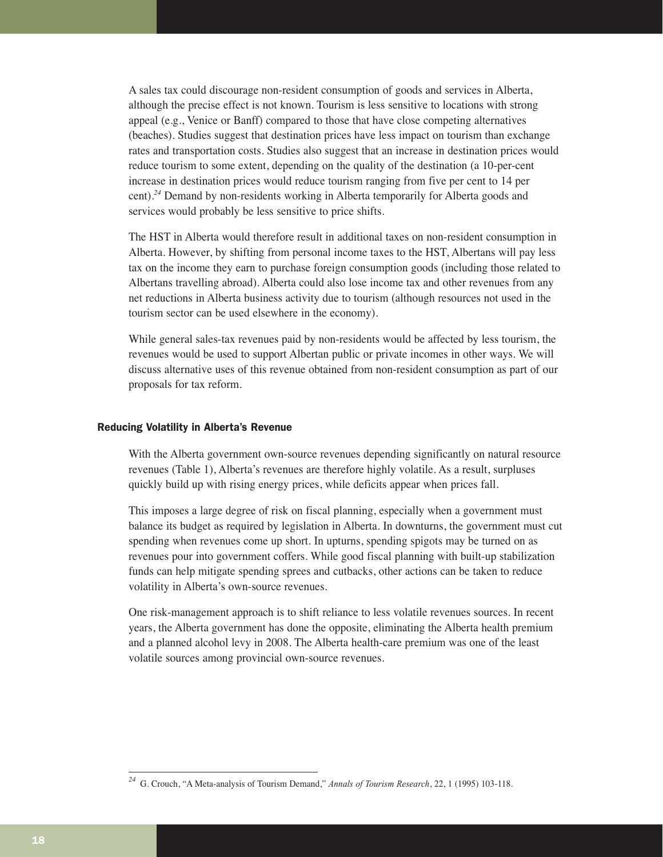A sales tax could discourage non-resident consumption of goods and services in Alberta, although the precise effect is not known. Tourism is less sensitive to locations with strong appeal (e.g., Venice or Banff) compared to those that have close competing alternatives (beaches). Studies suggest that destination prices have less impact on tourism than exchange rates and transportation costs. Studies also suggest that an increase in destination prices would reduce tourism to some extent, depending on the quality of the destination (a 10-per-cent increase in destination prices would reduce tourism ranging from five per cent to 14 per cent).*<sup>24</sup>* Demand by non-residents working in Alberta temporarily for Alberta goods and services would probably be less sensitive to price shifts.

The HST in Alberta would therefore result in additional taxes on non-resident consumption in Alberta. However, by shifting from personal income taxes to the HST, Albertans will pay less tax on the income they earn to purchase foreign consumption goods (including those related to Albertans travelling abroad). Alberta could also lose income tax and other revenues from any net reductions in Alberta business activity due to tourism (although resources not used in the tourism sector can be used elsewhere in the economy).

While general sales-tax revenues paid by non-residents would be affected by less tourism, the revenues would be used to support Albertan public or private incomes in other ways. We will discuss alternative uses of this revenue obtained from non-resident consumption as part of our proposals for tax reform.

#### Reducing Volatility in Alberta's Revenue

With the Alberta government own-source revenues depending significantly on natural resource revenues (Table 1), Alberta's revenues are therefore highly volatile. As a result, surpluses quickly build up with rising energy prices, while deficits appear when prices fall.

This imposes a large degree of risk on fiscal planning, especially when a government must balance its budget as required by legislation in Alberta. In downturns, the government must cut spending when revenues come up short. In upturns, spending spigots may be turned on as revenues pour into government coffers. While good fiscal planning with built-up stabilization funds can help mitigate spending sprees and cutbacks, other actions can be taken to reduce volatility in Alberta's own-source revenues.

One risk-management approach is to shift reliance to less volatile revenues sources. In recent years, the Alberta government has done the opposite, eliminating the Alberta health premium and a planned alcohol levy in 2008. The Alberta health-care premium was one of the least volatile sources among provincial own-source revenues.

*<sup>24</sup>* G. Crouch, "A Meta-analysis of Tourism Demand," *Annals of Tourism Research*, 22, 1 (1995) 103-118.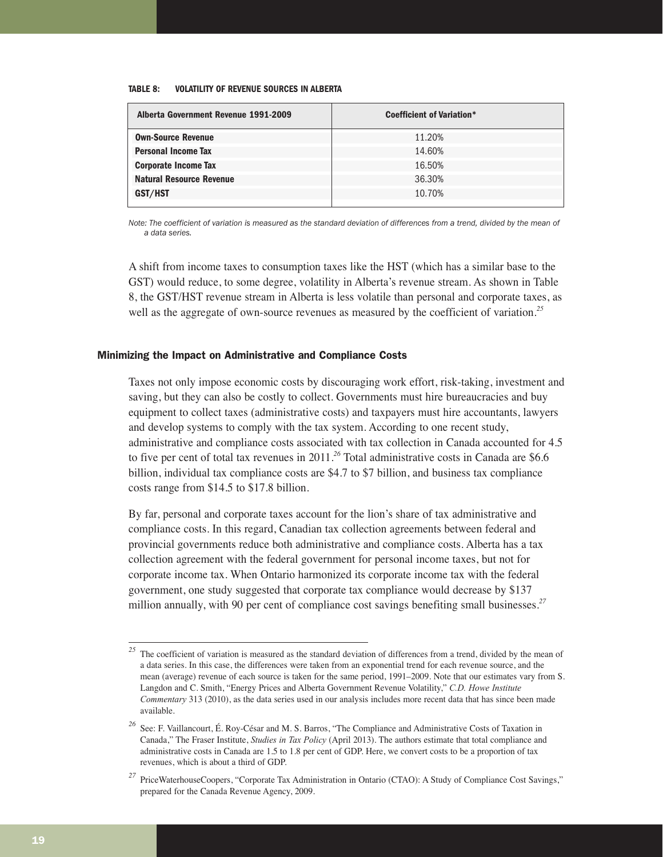#### **TABLE 8: VOLATILITY OF REVENUE SOURCES IN ALBERTA**

| Alberta Government Revenue 1991-2009 | <b>Coefficient of Variation*</b> |
|--------------------------------------|----------------------------------|
| <b>Own-Source Revenue</b>            | 11.20%                           |
| <b>Personal Income Tax</b>           | 14.60%                           |
| <b>Corporate Income Tax</b>          | 16.50%                           |
| <b>Natural Resource Revenue</b>      | 36.30%                           |
| GST/HST                              | 10.70%                           |
|                                      |                                  |

*Note: The coefficient of variation is measured as the standard deviation of differences from a trend, divided by the mean of a data series.*

A shift from income taxes to consumption taxes like the HST (which has a similar base to the GST) would reduce, to some degree, volatility in Alberta's revenue stream. As shown in Table 8, the GST/HST revenue stream in Alberta is less volatile than personal and corporate taxes, as well as the aggregate of own-source revenues as measured by the coefficient of variation.<sup>25</sup>

#### Minimizing the Impact on Administrative and Compliance Costs

Taxes not only impose economic costs by discouraging work effort, risk-taking, investment and saving, but they can also be costly to collect. Governments must hire bureaucracies and buy equipment to collect taxes (administrative costs) and taxpayers must hire accountants, lawyers and develop systems to comply with the tax system. According to one recent study, administrative and compliance costs associated with tax collection in Canada accounted for 4.5 to five per cent of total tax revenues in 2011.*<sup>26</sup>* Total administrative costs in Canada are \$6.6 billion, individual tax compliance costs are \$4.7 to \$7 billion, and business tax compliance costs range from \$14.5 to \$17.8 billion.

By far, personal and corporate taxes account for the lion's share of tax administrative and compliance costs. In this regard, Canadian tax collection agreements between federal and provincial governments reduce both administrative and compliance costs. Alberta has a tax collection agreement with the federal government for personal income taxes, but not for corporate income tax. When Ontario harmonized its corporate income tax with the federal government, one study suggested that corporate tax compliance would decrease by \$137 million annually, with 90 per cent of compliance cost savings benefiting small businesses.*<sup>27</sup>*

<sup>&</sup>lt;sup>25</sup> The coefficient of variation is measured as the standard deviation of differences from a trend, divided by the mean of a data series. In this case, the differences were taken from an exponential trend for each revenue source, and the mean (average) revenue of each source is taken for the same period, 1991–2009. Note that our estimates vary from S. Langdon and C. Smith, "Energy Prices and Alberta Government Revenue Volatility," *C.D. Howe Institute Commentary* 313 (2010), as the data series used in our analysis includes more recent data that has since been made available.

*<sup>26</sup>* See: F. Vaillancourt, É. Roy-César and M. S. Barros, "The Compliance and Administrative Costs of Taxation in Canada," The Fraser Institute, *Studies in Tax Policy* (April 2013). The authors estimate that total compliance and administrative costs in Canada are 1.5 to 1.8 per cent of GDP. Here, we convert costs to be a proportion of tax revenues, which is about a third of GDP.

*<sup>27</sup>* PriceWaterhouseCoopers, "Corporate Tax Administration in Ontario (CTAO): A Study of Compliance Cost Savings," prepared for the Canada Revenue Agency, 2009.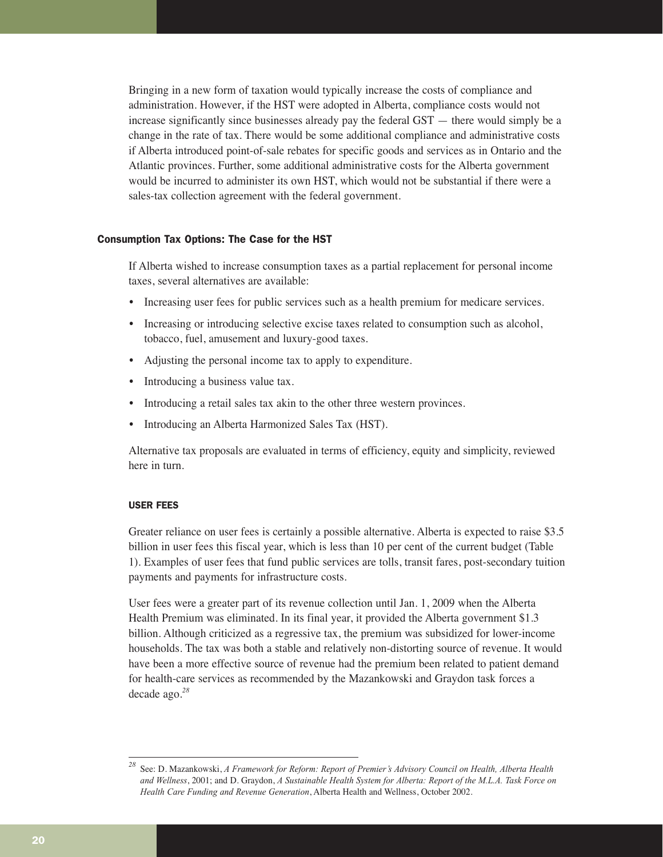Bringing in a new form of taxation would typically increase the costs of compliance and administration. However, if the HST were adopted in Alberta, compliance costs would not increase significantly since businesses already pay the federal GST — there would simply be a change in the rate of tax. There would be some additional compliance and administrative costs if Alberta introduced point-of-sale rebates for specific goods and services as in Ontario and the Atlantic provinces. Further, some additional administrative costs for the Alberta government would be incurred to administer its own HST, which would not be substantial if there were a sales-tax collection agreement with the federal government.

#### Consumption Tax Options: The Case for the HST

If Alberta wished to increase consumption taxes as a partial replacement for personal income taxes, several alternatives are available:

- Increasing user fees for public services such as a health premium for medicare services.
- Increasing or introducing selective excise taxes related to consumption such as alcohol, tobacco, fuel, amusement and luxury-good taxes.
- Adjusting the personal income tax to apply to expenditure.
- Introducing a business value tax.
- Introducing a retail sales tax akin to the other three western provinces.
- Introducing an Alberta Harmonized Sales Tax (HST).

Alternative tax proposals are evaluated in terms of efficiency, equity and simplicity, reviewed here in turn.

#### USER FEES

Greater reliance on user fees is certainly a possible alternative. Alberta is expected to raise \$3.5 billion in user fees this fiscal year, which is less than 10 per cent of the current budget (Table 1). Examples of user fees that fund public services are tolls, transit fares, post-secondary tuition payments and payments for infrastructure costs.

User fees were a greater part of its revenue collection until Jan. 1, 2009 when the Alberta Health Premium was eliminated. In its final year, it provided the Alberta government \$1.3 billion. Although criticized as a regressive tax, the premium was subsidized for lower-income households. The tax was both a stable and relatively non-distorting source of revenue. It would have been a more effective source of revenue had the premium been related to patient demand for health-care services as recommended by the Mazankowski and Graydon task forces a decade ago.*<sup>28</sup>*

*<sup>28</sup>* See: D. Mazankowski, *A Framework for Reform: Report of Premier's Advisory Council on Health, Alberta Health and Wellness*, 2001; and D. Graydon, *A Sustainable Health System for Alberta: Report of the M.L.A. Task Force on Health Care Funding and Revenue Generation*, Alberta Health and Wellness, October 2002.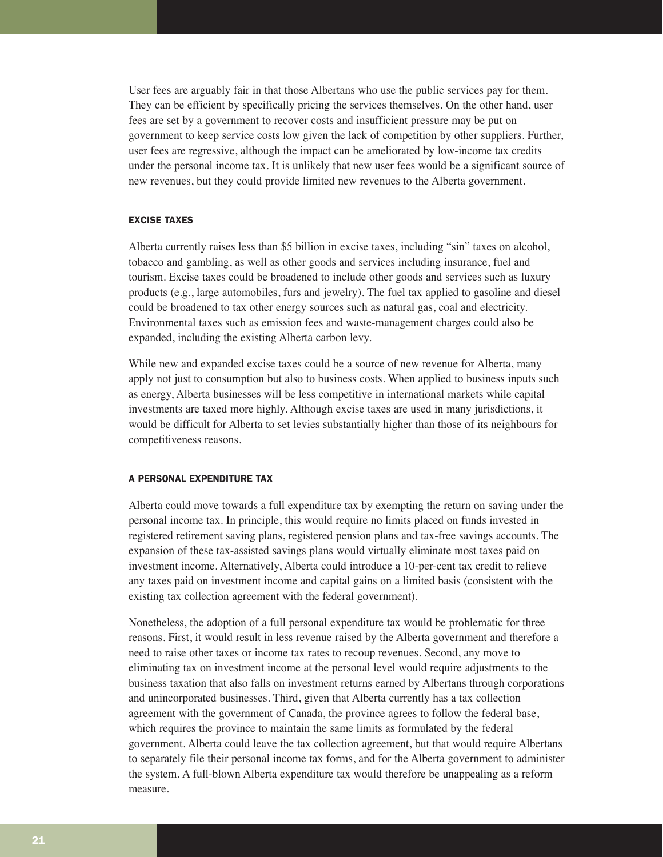User fees are arguably fair in that those Albertans who use the public services pay for them. They can be efficient by specifically pricing the services themselves. On the other hand, user fees are set by a government to recover costs and insufficient pressure may be put on government to keep service costs low given the lack of competition by other suppliers. Further, user fees are regressive, although the impact can be ameliorated by low-income tax credits under the personal income tax. It is unlikely that new user fees would be a significant source of new revenues, but they could provide limited new revenues to the Alberta government.

#### EXCISE TAXES

Alberta currently raises less than \$5 billion in excise taxes, including "sin" taxes on alcohol, tobacco and gambling, as well as other goods and services including insurance, fuel and tourism. Excise taxes could be broadened to include other goods and services such as luxury products (e.g., large automobiles, furs and jewelry). The fuel tax applied to gasoline and diesel could be broadened to tax other energy sources such as natural gas, coal and electricity. Environmental taxes such as emission fees and waste-management charges could also be expanded, including the existing Alberta carbon levy.

While new and expanded excise taxes could be a source of new revenue for Alberta, many apply not just to consumption but also to business costs. When applied to business inputs such as energy, Alberta businesses will be less competitive in international markets while capital investments are taxed more highly. Although excise taxes are used in many jurisdictions, it would be difficult for Alberta to set levies substantially higher than those of its neighbours for competitiveness reasons.

#### A PERSONAL EXPENDITURE TAX

Alberta could move towards a full expenditure tax by exempting the return on saving under the personal income tax. In principle, this would require no limits placed on funds invested in registered retirement saving plans, registered pension plans and tax-free savings accounts. The expansion of these tax-assisted savings plans would virtually eliminate most taxes paid on investment income. Alternatively, Alberta could introduce a 10-per-cent tax credit to relieve any taxes paid on investment income and capital gains on a limited basis (consistent with the existing tax collection agreement with the federal government).

Nonetheless, the adoption of a full personal expenditure tax would be problematic for three reasons. First, it would result in less revenue raised by the Alberta government and therefore a need to raise other taxes or income tax rates to recoup revenues. Second, any move to eliminating tax on investment income at the personal level would require adjustments to the business taxation that also falls on investment returns earned by Albertans through corporations and unincorporated businesses. Third, given that Alberta currently has a tax collection agreement with the government of Canada, the province agrees to follow the federal base, which requires the province to maintain the same limits as formulated by the federal government. Alberta could leave the tax collection agreement, but that would require Albertans to separately file their personal income tax forms, and for the Alberta government to administer the system. A full-blown Alberta expenditure tax would therefore be unappealing as a reform measure.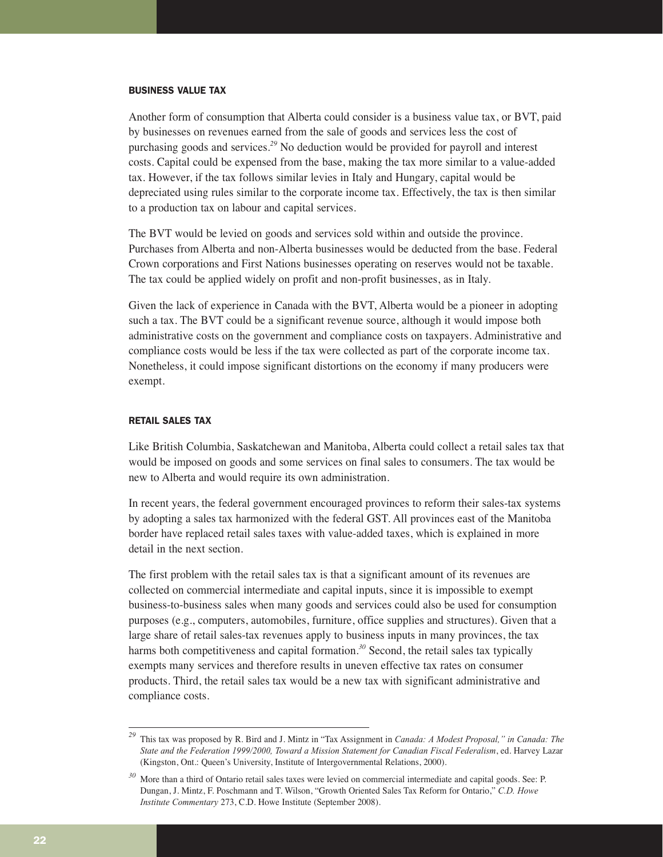#### BUSINESS VALUE TAX

Another form of consumption that Alberta could consider is a business value tax, or BVT, paid by businesses on revenues earned from the sale of goods and services less the cost of purchasing goods and services.*<sup>29</sup>* No deduction would be provided for payroll and interest costs. Capital could be expensed from the base, making the tax more similar to a value-added tax. However, if the tax follows similar levies in Italy and Hungary, capital would be depreciated using rules similar to the corporate income tax. Effectively, the tax is then similar to a production tax on labour and capital services.

The BVT would be levied on goods and services sold within and outside the province. Purchases from Alberta and non-Alberta businesses would be deducted from the base. Federal Crown corporations and First Nations businesses operating on reserves would not be taxable. The tax could be applied widely on profit and non-profit businesses, as in Italy.

Given the lack of experience in Canada with the BVT, Alberta would be a pioneer in adopting such a tax. The BVT could be a significant revenue source, although it would impose both administrative costs on the government and compliance costs on taxpayers. Administrative and compliance costs would be less if the tax were collected as part of the corporate income tax. Nonetheless, it could impose significant distortions on the economy if many producers were exempt.

#### RETAIL SALES TAX

Like British Columbia, Saskatchewan and Manitoba, Alberta could collect a retail sales tax that would be imposed on goods and some services on final sales to consumers. The tax would be new to Alberta and would require its own administration.

In recent years, the federal government encouraged provinces to reform their sales-tax systems by adopting a sales tax harmonized with the federal GST. All provinces east of the Manitoba border have replaced retail sales taxes with value-added taxes, which is explained in more detail in the next section.

The first problem with the retail sales tax is that a significant amount of its revenues are collected on commercial intermediate and capital inputs, since it is impossible to exempt business-to-business sales when many goods and services could also be used for consumption purposes (e.g., computers, automobiles, furniture, office supplies and structures). Given that a large share of retail sales-tax revenues apply to business inputs in many provinces, the tax harms both competitiveness and capital formation.<sup>30</sup> Second, the retail sales tax typically exempts many services and therefore results in uneven effective tax rates on consumer products. Third, the retail sales tax would be a new tax with significant administrative and compliance costs.

*<sup>29</sup>* This tax was proposed by R. Bird and J. Mintz in "Tax Assignment in *Canada: A Modest Proposal," in Canada: The State and the Federation 1999/2000, Toward a Mission Statement for Canadian Fiscal Federalism*, ed. Harvey Lazar (Kingston, Ont.: Queen's University, Institute of Intergovernmental Relations, 2000).

*<sup>30</sup>* More than a third of Ontario retail sales taxes were levied on commercial intermediate and capital goods. See: P. Dungan, J. Mintz, F. Poschmann and T. Wilson, "Growth Oriented Sales Tax Reform for Ontario," *C.D. Howe Institute Commentary* 273, C.D. Howe Institute (September 2008).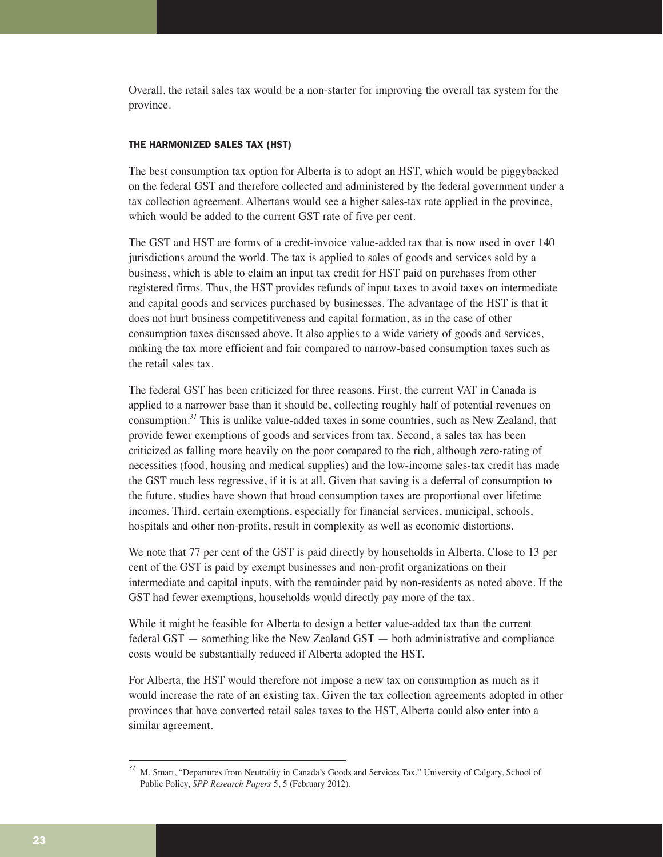Overall, the retail sales tax would be a non-starter for improving the overall tax system for the province.

#### THE HARMONIZED SALES TAX (HST)

The best consumption tax option for Alberta is to adopt an HST, which would be piggybacked on the federal GST and therefore collected and administered by the federal government under a tax collection agreement. Albertans would see a higher sales-tax rate applied in the province, which would be added to the current GST rate of five per cent.

The GST and HST are forms of a credit-invoice value-added tax that is now used in over 140 jurisdictions around the world. The tax is applied to sales of goods and services sold by a business, which is able to claim an input tax credit for HST paid on purchases from other registered firms. Thus, the HST provides refunds of input taxes to avoid taxes on intermediate and capital goods and services purchased by businesses. The advantage of the HST is that it does not hurt business competitiveness and capital formation, as in the case of other consumption taxes discussed above. It also applies to a wide variety of goods and services, making the tax more efficient and fair compared to narrow-based consumption taxes such as the retail sales tax.

The federal GST has been criticized for three reasons. First, the current VAT in Canada is applied to a narrower base than it should be, collecting roughly half of potential revenues on consumption.*<sup>31</sup>* This is unlike value-added taxes in some countries, such as New Zealand, that provide fewer exemptions of goods and services from tax. Second, a sales tax has been criticized as falling more heavily on the poor compared to the rich, although zero-rating of necessities (food, housing and medical supplies) and the low-income sales-tax credit has made the GST much less regressive, if it is at all. Given that saving is a deferral of consumption to the future, studies have shown that broad consumption taxes are proportional over lifetime incomes. Third, certain exemptions, especially for financial services, municipal, schools, hospitals and other non-profits, result in complexity as well as economic distortions.

We note that 77 per cent of the GST is paid directly by households in Alberta. Close to 13 per cent of the GST is paid by exempt businesses and non-profit organizations on their intermediate and capital inputs, with the remainder paid by non-residents as noted above. If the GST had fewer exemptions, households would directly pay more of the tax.

While it might be feasible for Alberta to design a better value-added tax than the current federal GST — something like the New Zealand GST — both administrative and compliance costs would be substantially reduced if Alberta adopted the HST.

For Alberta, the HST would therefore not impose a new tax on consumption as much as it would increase the rate of an existing tax. Given the tax collection agreements adopted in other provinces that have converted retail sales taxes to the HST, Alberta could also enter into a similar agreement.

*<sup>31</sup>* M. Smart, "Departures from Neutrality in Canada's Goods and Services Tax," University of Calgary, School of Public Policy, *SPP Research Papers* 5, 5 (February 2012).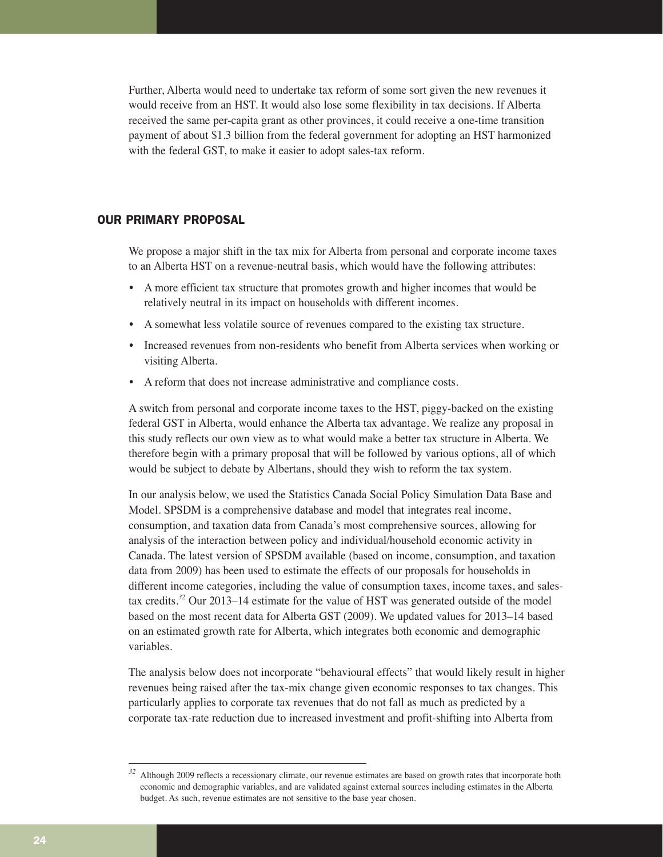Further, Alberta would need to undertake tax reform of some sort given the new revenues it would receive from an HST. It would also lose some flexibility in tax decisions. If Alberta received the same per-capita grant as other provinces, it could receive a one-time transition payment of about \$1.3 billion from the federal government for adopting an HST harmonized with the federal GST, to make it easier to adopt sales-tax reform.

# OUR PRIMARY PROPOSAL

We propose a major shift in the tax mix for Alberta from personal and corporate income taxes to an Alberta HST on a revenue-neutral basis, which would have the following attributes:

- A more efficient tax structure that promotes growth and higher incomes that would be relatively neutral in its impact on households with different incomes.
- A somewhat less volatile source of revenues compared to the existing tax structure.
- Increased revenues from non-residents who benefit from Alberta services when working or visiting Alberta.
- A reform that does not increase administrative and compliance costs.

A switch from personal and corporate income taxes to the HST, piggy-backed on the existing federal GST in Alberta, would enhance the Alberta tax advantage. We realize any proposal in this study reflects our own view as to what would make a better tax structure in Alberta. We therefore begin with a primary proposal that will be followed by various options, all of which would be subject to debate by Albertans, should they wish to reform the tax system.

In our analysis below, we used the Statistics Canada Social Policy Simulation Data Base and Model. SPSDM is a comprehensive database and model that integrates real income, consumption, and taxation data from Canada's most comprehensive sources, allowing for analysis of the interaction between policy and individual/household economic activity in Canada. The latest version of SPSDM available (based on income, consumption, and taxation data from 2009) has been used to estimate the effects of our proposals for households in different income categories, including the value of consumption taxes, income taxes, and salestax credits.*<sup>32</sup>* Our 2013–14 estimate for the value of HST was generated outside of the model based on the most recent data for Alberta GST (2009). We updated values for 2013–14 based on an estimated growth rate for Alberta, which integrates both economic and demographic variables.

The analysis below does not incorporate "behavioural effects" that would likely result in higher revenues being raised after the tax-mix change given economic responses to tax changes. This particularly applies to corporate tax revenues that do not fall as much as predicted by a corporate tax-rate reduction due to increased investment and profit-shifting into Alberta from

*<sup>32</sup>* Although 2009 reflects a recessionary climate, our revenue estimates are based on growth rates that incorporate both economic and demographic variables, and are validated against external sources including estimates in the Alberta budget. As such, revenue estimates are not sensitive to the base year chosen.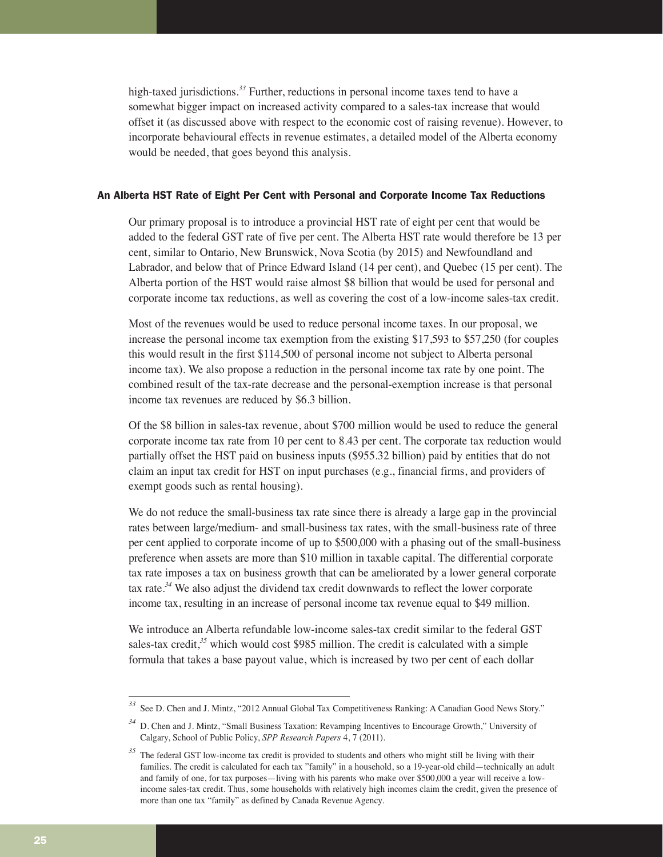high-taxed jurisdictions.*<sup>33</sup>* Further, reductions in personal income taxes tend to have a somewhat bigger impact on increased activity compared to a sales-tax increase that would offset it (as discussed above with respect to the economic cost of raising revenue). However, to incorporate behavioural effects in revenue estimates, a detailed model of the Alberta economy would be needed, that goes beyond this analysis.

#### An Alberta HST Rate of Eight Per Cent with Personal and Corporate Income Tax Reductions

Our primary proposal is to introduce a provincial HST rate of eight per cent that would be added to the federal GST rate of five per cent. The Alberta HST rate would therefore be 13 per cent, similar to Ontario, New Brunswick, Nova Scotia (by 2015) and Newfoundland and Labrador, and below that of Prince Edward Island (14 per cent), and Quebec (15 per cent). The Alberta portion of the HST would raise almost \$8 billion that would be used for personal and corporate income tax reductions, as well as covering the cost of a low-income sales-tax credit.

Most of the revenues would be used to reduce personal income taxes. In our proposal, we increase the personal income tax exemption from the existing \$17,593 to \$57,250 (for couples this would result in the first \$114,500 of personal income not subject to Alberta personal income tax). We also propose a reduction in the personal income tax rate by one point. The combined result of the tax-rate decrease and the personal-exemption increase is that personal income tax revenues are reduced by \$6.3 billion.

Of the \$8 billion in sales-tax revenue, about \$700 million would be used to reduce the general corporate income tax rate from 10 per cent to 8.43 per cent. The corporate tax reduction would partially offset the HST paid on business inputs (\$955.32 billion) paid by entities that do not claim an input tax credit for HST on input purchases (e.g., financial firms, and providers of exempt goods such as rental housing).

We do not reduce the small-business tax rate since there is already a large gap in the provincial rates between large/medium- and small-business tax rates, with the small-business rate of three per cent applied to corporate income of up to \$500,000 with a phasing out of the small-business preference when assets are more than \$10 million in taxable capital. The differential corporate tax rate imposes a tax on business growth that can be ameliorated by a lower general corporate tax rate.*<sup>34</sup>* We also adjust the dividend tax credit downwards to reflect the lower corporate income tax, resulting in an increase of personal income tax revenue equal to \$49 million.

We introduce an Alberta refundable low-income sales-tax credit similar to the federal GST sales-tax credit,<sup>35</sup> which would cost \$985 million. The credit is calculated with a simple formula that takes a base payout value, which is increased by two per cent of each dollar

*<sup>33</sup>* See D. Chen and J. Mintz, "2012 Annual Global Tax Competitiveness Ranking: A Canadian Good News Story."

*<sup>34</sup>* D. Chen and J. Mintz, "Small Business Taxation: Revamping Incentives to Encourage Growth," University of Calgary, School of Public Policy, *SPP Research Papers* 4, 7 (2011).

<sup>&</sup>lt;sup>35</sup> The federal GST low-income tax credit is provided to students and others who might still be living with their families. The credit is calculated for each tax "family" in a household, so a 19-year-old child—technically an adult and family of one, for tax purposes—living with his parents who make over \$500,000 a year will receive a lowincome sales-tax credit. Thus, some households with relatively high incomes claim the credit, given the presence of more than one tax "family" as defined by Canada Revenue Agency.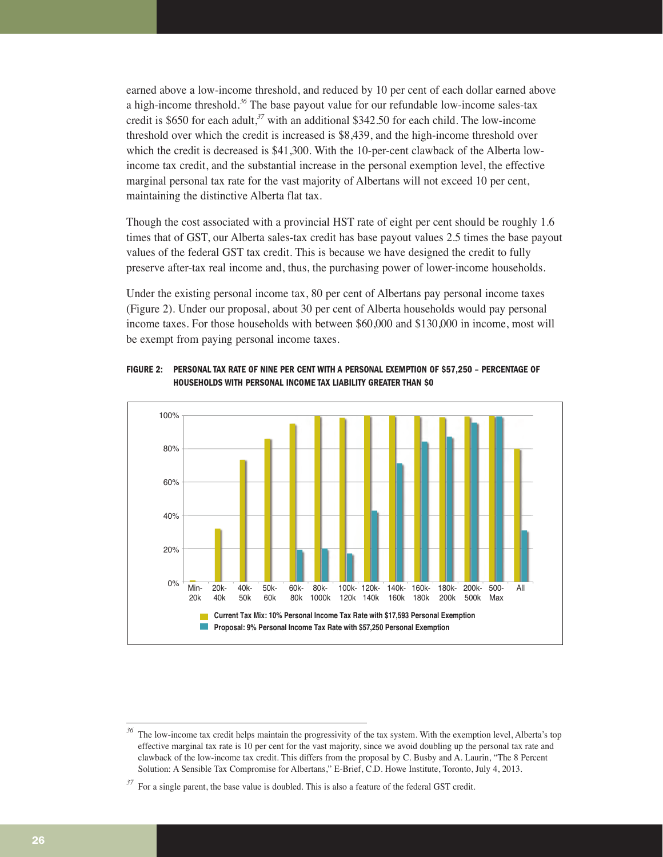earned above a low-income threshold, and reduced by 10 per cent of each dollar earned above a high-income threshold.*<sup>36</sup>* The base payout value for our refundable low-income sales-tax credit is \$650 for each adult,*<sup>37</sup>* with an additional \$342.50 for each child. The low-income threshold over which the credit is increased is \$8,439, and the high-income threshold over which the credit is decreased is \$41,300. With the 10-per-cent clawback of the Alberta lowincome tax credit, and the substantial increase in the personal exemption level, the effective marginal personal tax rate for the vast majority of Albertans will not exceed 10 per cent, maintaining the distinctive Alberta flat tax.

Though the cost associated with a provincial HST rate of eight per cent should be roughly 1.6 times that of GST, our Alberta sales-tax credit has base payout values 2.5 times the base payout values of the federal GST tax credit. This is because we have designed the credit to fully preserve after-tax real income and, thus, the purchasing power of lower-income households.

Under the existing personal income tax, 80 per cent of Albertans pay personal income taxes (Figure 2). Under our proposal, about 30 per cent of Alberta households would pay personal income taxes. For those households with between \$60,000 and \$130,000 in income, most will be exempt from paying personal income taxes.





The low-income tax credit helps maintain the progressivity of the tax system. With the exemption level, Alberta's top effective marginal tax rate is 10 per cent for the vast majority, since we avoid doubling up the personal tax rate and clawback of the low-income tax credit. This differs from the proposal by C. Busby and A. Laurin, "The 8 Percent Solution: A Sensible Tax Compromise for Albertans," E-Brief, C.D. Howe Institute, Toronto, July 4, 2013.

<sup>&</sup>lt;sup>37</sup> For a single parent, the base value is doubled. This is also a feature of the federal GST credit.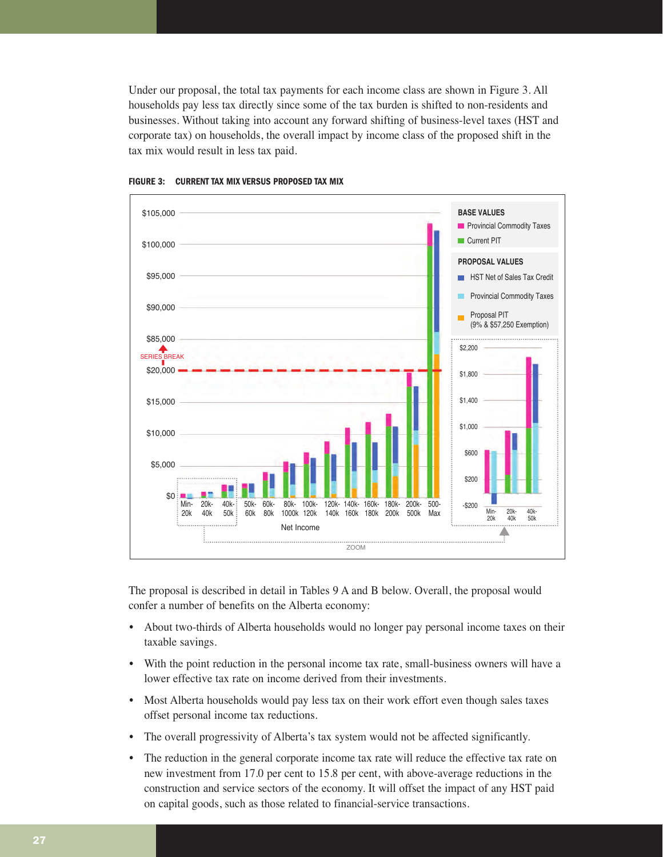Under our proposal, the total tax payments for each income class are shown in Figure 3. All households pay less tax directly since some of the tax burden is shifted to non-residents and businesses. Without taking into account any forward shifting of business-level taxes (HST and corporate tax) on households, the overall impact by income class of the proposed shift in the tax mix would result in less tax paid.





The proposal is described in detail in Tables 9 A and B below. Overall, the proposal would confer a number of benefits on the Alberta economy:

- About two-thirds of Alberta households would no longer pay personal income taxes on their taxable savings.
- With the point reduction in the personal income tax rate, small-business owners will have a lower effective tax rate on income derived from their investments.
- Most Alberta households would pay less tax on their work effort even though sales taxes offset personal income tax reductions.
- The overall progressivity of Alberta's tax system would not be affected significantly.
- The reduction in the general corporate income tax rate will reduce the effective tax rate on new investment from 17.0 per cent to 15.8 per cent, with above-average reductions in the construction and service sectors of the economy. It will offset the impact of any HST paid on capital goods, such as those related to financial-service transactions.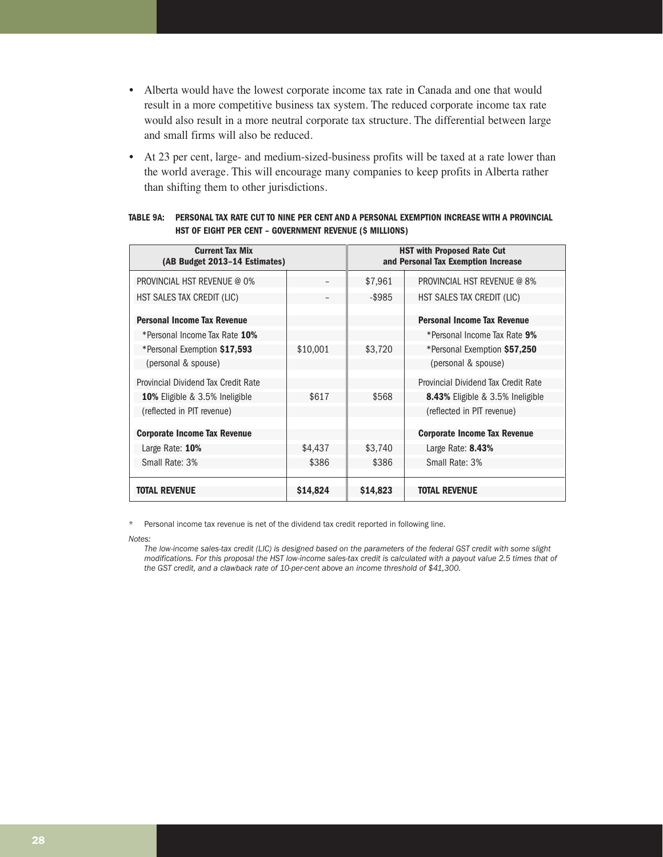- Alberta would have the lowest corporate income tax rate in Canada and one that would result in a more competitive business tax system. The reduced corporate income tax rate would also result in a more neutral corporate tax structure. The differential between large and small firms will also be reduced.
- At 23 per cent, large- and medium-sized-business profits will be taxed at a rate lower than the world average. This will encourage many companies to keep profits in Alberta rather than shifting them to other jurisdictions.

| <b>Current Tax Mix</b><br>(AB Budget 2013-14 Estimates) |          |          | <b>HST with Proposed Rate Cut</b><br>and Personal Tax Exemption Increase |
|---------------------------------------------------------|----------|----------|--------------------------------------------------------------------------|
| <b>PROVINCIAL HST REVENUE @ 0%</b>                      |          | \$7,961  | <b>PROVINCIAL HST REVENUE @ 8%</b>                                       |
| HST SALES TAX CREDIT (LIC)                              |          | -\$985   | HST SALES TAX CREDIT (LIC)                                               |
| <b>Personal Income Tax Revenue</b>                      |          |          | <b>Personal Income Tax Revenue</b>                                       |
| *Personal Income Tax Rate 10%                           |          |          | *Personal Income Tax Rate 9%                                             |
| *Personal Exemption \$17,593                            | \$10,001 | \$3,720  | *Personal Exemption \$57,250                                             |
| (personal & spouse)                                     |          |          | (personal & spouse)                                                      |
| Provincial Dividend Tax Credit Rate                     |          |          | Provincial Dividend Tax Credit Rate                                      |
| <b>10%</b> Eligible & 3.5% Ineligible                   | \$617    | \$568    | <b>8.43%</b> Eligible & 3.5% Ineligible                                  |
| (reflected in PIT revenue)                              |          |          | (reflected in PIT revenue)                                               |
| <b>Corporate Income Tax Revenue</b>                     |          |          | <b>Corporate Income Tax Revenue</b>                                      |
| Large Rate: 10%                                         | \$4,437  | \$3,740  | Large Rate: 8.43%                                                        |
| Small Rate: 3%                                          | \$386    | \$386    | Small Rate: 3%                                                           |
|                                                         |          |          |                                                                          |
| TOTAL REVENUE                                           | \$14,824 | \$14,823 | TOTAL REVENUE                                                            |

#### **TABLE 9A: PERSONAL TAX RATE CUT TO NINE PER CENT AND A PERSONAL EXEMPTION INCREASE WITH A PROVINCIAL HST OF EIGHT PER CENT – GOVERNMENT REVENUE (\$ MILLIONS)**

Personal income tax revenue is net of the dividend tax credit reported in following line.

*Notes:* 

*The low-income sales-tax credit (LIC) is designed based on the parameters of the federal GST credit with some slight modifications. For this proposal the HST low-income sales-tax credit is calculated with a payout value 2.5 times that of the GST credit, and a clawback rate of 10-per-cent above an income threshold of \$41,300.*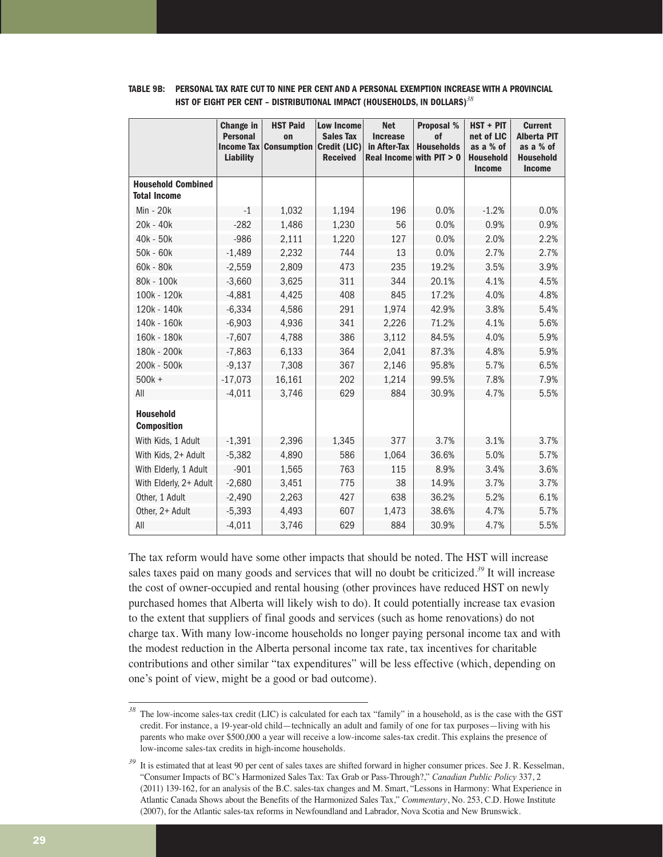|                                                  | Change in<br><b>Personal</b><br><b>Income Tax</b><br><b>Liability</b> | <b>HST Paid</b><br>on<br><b>Consumption</b> | <b>Low Income</b><br><b>Sales Tax</b><br>Credit (LIC)<br><b>Received</b> | <b>Net</b><br><b>Increase</b><br>in After-Tax<br><b>Real Income</b> | Proposal %<br>of<br><b>Households</b><br>with $PIT > 0$ | HST + PIT<br>net of LIC<br>as a % of<br><b>Household</b><br><b>Income</b> | <b>Current</b><br><b>Alberta PIT</b><br>as a % of<br><b>Household</b><br><b>Income</b> |
|--------------------------------------------------|-----------------------------------------------------------------------|---------------------------------------------|--------------------------------------------------------------------------|---------------------------------------------------------------------|---------------------------------------------------------|---------------------------------------------------------------------------|----------------------------------------------------------------------------------------|
| <b>Household Combined</b><br><b>Total Income</b> |                                                                       |                                             |                                                                          |                                                                     |                                                         |                                                                           |                                                                                        |
| Min - 20k                                        | $-1$                                                                  | 1,032                                       | 1,194                                                                    | 196                                                                 | 0.0%                                                    | $-1.2%$                                                                   | 0.0%                                                                                   |
| $20k - 40k$                                      | $-282$                                                                | 1,486                                       | 1,230                                                                    | 56                                                                  | 0.0%                                                    | 0.9%                                                                      | 0.9%                                                                                   |
| 40k - 50k                                        | $-986$                                                                | 2,111                                       | 1,220                                                                    | 127                                                                 | 0.0%                                                    | 2.0%                                                                      | 2.2%                                                                                   |
| 50k - 60k                                        | $-1,489$                                                              | 2,232                                       | 744                                                                      | 13                                                                  | 0.0%                                                    | 2.7%                                                                      | 2.7%                                                                                   |
| 60k - 80k                                        | $-2,559$                                                              | 2,809                                       | 473                                                                      | 235                                                                 | 19.2%                                                   | 3.5%                                                                      | 3.9%                                                                                   |
| 80k - 100k                                       | $-3,660$                                                              | 3,625                                       | 311                                                                      | 344                                                                 | 20.1%                                                   | 4.1%                                                                      | 4.5%                                                                                   |
| 100k - 120k                                      | $-4,881$                                                              | 4,425                                       | 408                                                                      | 845                                                                 | 17.2%                                                   | 4.0%                                                                      | 4.8%                                                                                   |
| 120k - 140k                                      | $-6,334$                                                              | 4,586                                       | 291                                                                      | 1,974                                                               | 42.9%                                                   | 3.8%                                                                      | 5.4%                                                                                   |
| 140k - 160k                                      | $-6,903$                                                              | 4,936                                       | 341                                                                      | 2,226                                                               | 71.2%                                                   | 4.1%                                                                      | 5.6%                                                                                   |
| 160k - 180k                                      | $-7,607$                                                              | 4,788                                       | 386                                                                      | 3,112                                                               | 84.5%                                                   | 4.0%                                                                      | 5.9%                                                                                   |
| 180k - 200k                                      | $-7,863$                                                              | 6,133                                       | 364                                                                      | 2,041                                                               | 87.3%                                                   | 4.8%                                                                      | 5.9%                                                                                   |
| 200k - 500k                                      | $-9,137$                                                              | 7,308                                       | 367                                                                      | 2,146                                                               | 95.8%                                                   | 5.7%                                                                      | 6.5%                                                                                   |
| $500k +$                                         | $-17,073$                                                             | 16,161                                      | 202                                                                      | 1,214                                                               | 99.5%                                                   | 7.8%                                                                      | 7.9%                                                                                   |
| All                                              | $-4,011$                                                              | 3,746                                       | 629                                                                      | 884                                                                 | 30.9%                                                   | 4.7%                                                                      | 5.5%                                                                                   |
| <b>Household</b><br><b>Composition</b>           |                                                                       |                                             |                                                                          |                                                                     |                                                         |                                                                           |                                                                                        |
| With Kids, 1 Adult                               | $-1,391$                                                              | 2,396                                       | 1,345                                                                    | 377                                                                 | 3.7%                                                    | 3.1%                                                                      | 3.7%                                                                                   |
| With Kids, 2+ Adult                              | $-5,382$                                                              | 4,890                                       | 586                                                                      | 1,064                                                               | 36.6%                                                   | 5.0%                                                                      | 5.7%                                                                                   |
| With Elderly, 1 Adult                            | $-901$                                                                | 1,565                                       | 763                                                                      | 115                                                                 | 8.9%                                                    | 3.4%                                                                      | 3.6%                                                                                   |
| With Elderly, 2+ Adult                           | $-2,680$                                                              | 3,451                                       | 775                                                                      | 38                                                                  | 14.9%                                                   | 3.7%                                                                      | 3.7%                                                                                   |
| Other, 1 Adult                                   | $-2,490$                                                              | 2,263                                       | 427                                                                      | 638                                                                 | 36.2%                                                   | 5.2%                                                                      | 6.1%                                                                                   |
| Other, 2+ Adult                                  | $-5,393$                                                              | 4,493                                       | 607                                                                      | 1,473                                                               | 38.6%                                                   | 4.7%                                                                      | 5.7%                                                                                   |
| All                                              | $-4,011$                                                              | 3,746                                       | 629                                                                      | 884                                                                 | 30.9%                                                   | 4.7%                                                                      | 5.5%                                                                                   |

# **TABLE 9B: PERSONAL TAX RATE CUT TO NINE PER CENT AND A PERSONAL EXEMPTION INCREASE WITH A PROVINCIAL HST OF EIGHT PER CENT – DISTRIBUTIONAL IMPACT (HOUSEHOLDS, IN DOLLARS)***<sup>38</sup>*

The tax reform would have some other impacts that should be noted. The HST will increase sales taxes paid on many goods and services that will no doubt be criticized.*<sup>39</sup>* It will increase the cost of owner-occupied and rental housing (other provinces have reduced HST on newly purchased homes that Alberta will likely wish to do). It could potentially increase tax evasion to the extent that suppliers of final goods and services (such as home renovations) do not charge tax. With many low-income households no longer paying personal income tax and with the modest reduction in the Alberta personal income tax rate, tax incentives for charitable contributions and other similar "tax expenditures" will be less effective (which, depending on one's point of view, might be a good or bad outcome).

*<sup>38</sup>* The low-income sales-tax credit (LIC) is calculated for each tax "family" in a household, as is the case with the GST credit. For instance, a 19-year-old child—technically an adult and family of one for tax purposes—living with his parents who make over \$500,000 a year will receive a low-income sales-tax credit. This explains the presence of low-income sales-tax credits in high-income households.

<sup>&</sup>lt;sup>39</sup> It is estimated that at least 90 per cent of sales taxes are shifted forward in higher consumer prices. See J. R. Kesselman, "Consumer Impacts of BC's Harmonized Sales Tax: Tax Grab or Pass-Through?," *Canadian Public Policy* 337, 2 (2011) 139-162, for an analysis of the B.C. sales-tax changes and M. Smart, "Lessons in Harmony: What Experience in Atlantic Canada Shows about the Benefits of the Harmonized Sales Tax," *Commentary*, No. 253, C.D. Howe Institute (2007), for the Atlantic sales-tax reforms in Newfoundland and Labrador, Nova Scotia and New Brunswick.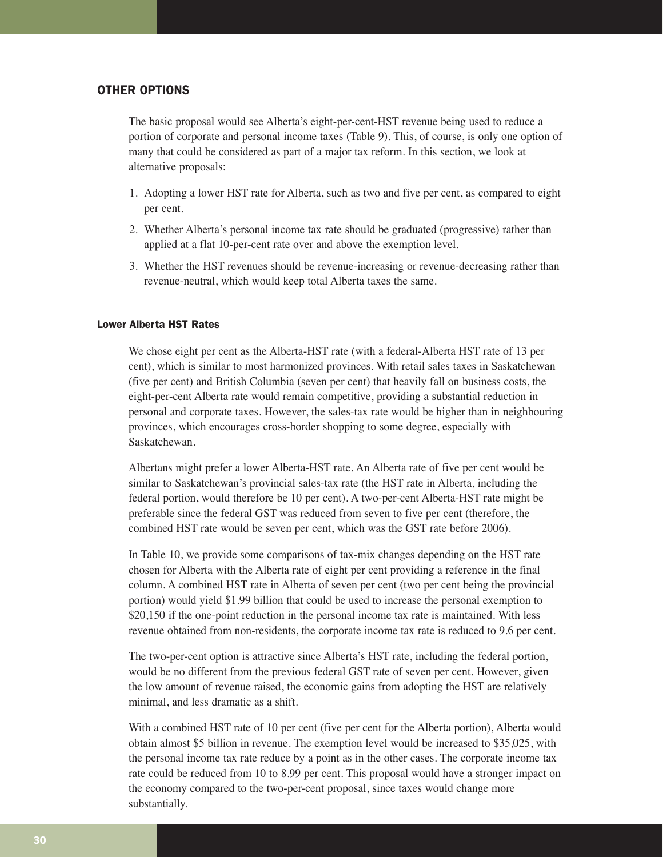# OTHER OPTIONS

The basic proposal would see Alberta's eight-per-cent-HST revenue being used to reduce a portion of corporate and personal income taxes (Table 9). This, of course, is only one option of many that could be considered as part of a major tax reform. In this section, we look at alternative proposals:

- 1. Adopting a lower HST rate for Alberta, such as two and five per cent, as compared to eight per cent.
- 2. Whether Alberta's personal income tax rate should be graduated (progressive) rather than applied at a flat 10-per-cent rate over and above the exemption level.
- 3. Whether the HST revenues should be revenue-increasing or revenue-decreasing rather than revenue-neutral, which would keep total Alberta taxes the same.

#### Lower Alberta HST Rates

We chose eight per cent as the Alberta-HST rate (with a federal-Alberta HST rate of 13 per cent), which is similar to most harmonized provinces. With retail sales taxes in Saskatchewan (five per cent) and British Columbia (seven per cent) that heavily fall on business costs, the eight-per-cent Alberta rate would remain competitive, providing a substantial reduction in personal and corporate taxes. However, the sales-tax rate would be higher than in neighbouring provinces, which encourages cross-border shopping to some degree, especially with Saskatchewan.

Albertans might prefer a lower Alberta-HST rate. An Alberta rate of five per cent would be similar to Saskatchewan's provincial sales-tax rate (the HST rate in Alberta, including the federal portion, would therefore be 10 per cent). A two-per-cent Alberta-HST rate might be preferable since the federal GST was reduced from seven to five per cent (therefore, the combined HST rate would be seven per cent, which was the GST rate before 2006).

In Table 10, we provide some comparisons of tax-mix changes depending on the HST rate chosen for Alberta with the Alberta rate of eight per cent providing a reference in the final column. A combined HST rate in Alberta of seven per cent (two per cent being the provincial portion) would yield \$1.99 billion that could be used to increase the personal exemption to \$20,150 if the one-point reduction in the personal income tax rate is maintained. With less revenue obtained from non-residents, the corporate income tax rate is reduced to 9.6 per cent.

The two-per-cent option is attractive since Alberta's HST rate, including the federal portion, would be no different from the previous federal GST rate of seven per cent. However, given the low amount of revenue raised, the economic gains from adopting the HST are relatively minimal, and less dramatic as a shift.

With a combined HST rate of 10 per cent (five per cent for the Alberta portion), Alberta would obtain almost \$5 billion in revenue. The exemption level would be increased to \$35,025, with the personal income tax rate reduce by a point as in the other cases. The corporate income tax rate could be reduced from 10 to 8.99 per cent. This proposal would have a stronger impact on the economy compared to the two-per-cent proposal, since taxes would change more substantially.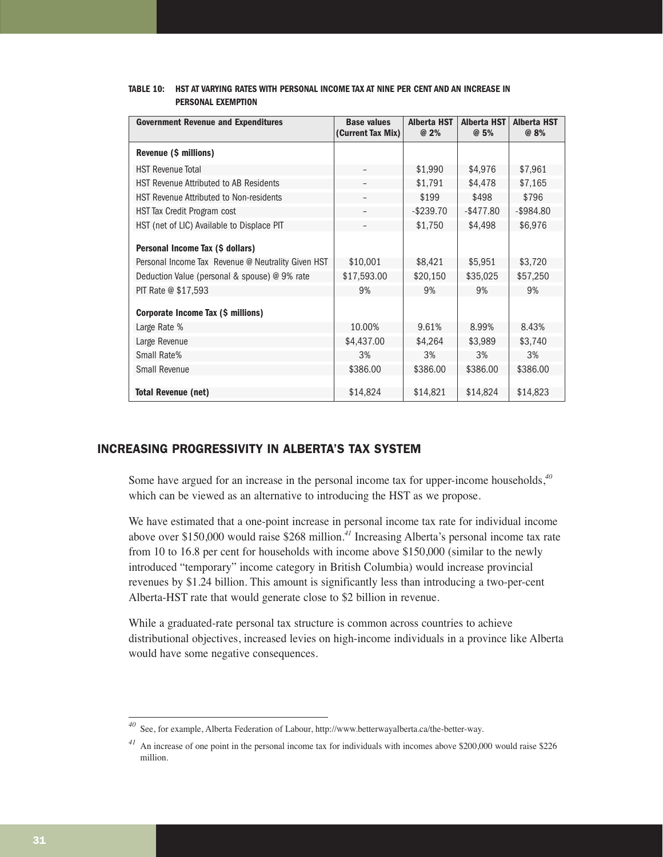| <b>Government Revenue and Expenditures</b>         | <b>Base values</b><br>(Current Tax Mix) | <b>Alberta HST</b><br>@ 2% | <b>Alberta HST</b><br>@5% | <b>Alberta HST</b><br>@ 8% |
|----------------------------------------------------|-----------------------------------------|----------------------------|---------------------------|----------------------------|
| Revenue (\$ millions)                              |                                         |                            |                           |                            |
| <b>HST Revenue Total</b>                           |                                         | \$1,990                    | \$4,976                   | \$7,961                    |
| <b>HST Revenue Attributed to AB Residents</b>      |                                         | \$1,791                    | \$4,478                   | \$7,165                    |
| <b>HST Revenue Attributed to Non-residents</b>     |                                         | \$199                      | \$498                     | \$796                      |
| HST Tax Credit Program cost                        |                                         | $-$ \$239.70               | $-$ \$477.80              | $-$ \$984.80               |
| HST (net of LIC) Available to Displace PIT         |                                         | \$1,750                    | \$4,498                   | \$6,976                    |
| Personal Income Tax (\$ dollars)                   |                                         |                            |                           |                            |
| Personal Income Tax Revenue @ Neutrality Given HST | \$10,001                                | \$8,421                    | \$5,951                   | \$3,720                    |
| Deduction Value (personal & spouse) @ 9% rate      | \$17,593.00                             | \$20,150                   | \$35,025                  | \$57,250                   |
| PIT Rate @ \$17,593                                | 9%                                      | 9%                         | 9%                        | 9%                         |
| Corporate Income Tax (\$ millions)                 |                                         |                            |                           |                            |
| Large Rate %                                       | 10.00%                                  | 9.61%                      | 8.99%                     | 8.43%                      |
| Large Revenue                                      | \$4,437.00                              | \$4,264                    | \$3,989                   | \$3,740                    |
| Small Rate%                                        | 3%                                      | 3%                         | 3%                        | 3%                         |
| Small Revenue                                      | \$386.00                                | \$386.00                   | \$386,00                  | \$386.00                   |
|                                                    |                                         |                            |                           |                            |
| <b>Total Revenue (net)</b>                         | \$14,824                                | \$14,821                   | \$14,824                  | \$14,823                   |

# **TABLE 10: HST AT VARYING RATES WITH PERSONAL INCOME TAX AT NINE PER CENT AND AN INCREASE IN PERSONAL EXEMPTION**

# INCREASING PROGRESSIVITY IN ALBERTA'S TAX SYSTEM

Some have argued for an increase in the personal income tax for upper-income households,*<sup>40</sup>* which can be viewed as an alternative to introducing the HST as we propose.

We have estimated that a one-point increase in personal income tax rate for individual income above over \$150,000 would raise \$268 million.*<sup>41</sup>* Increasing Alberta's personal income tax rate from 10 to 16.8 per cent for households with income above \$150,000 (similar to the newly introduced "temporary" income category in British Columbia) would increase provincial revenues by \$1.24 billion. This amount is significantly less than introducing a two-per-cent Alberta-HST rate that would generate close to \$2 billion in revenue.

While a graduated-rate personal tax structure is common across countries to achieve distributional objectives, increased levies on high-income individuals in a province like Alberta would have some negative consequences.

See, for example, Alberta Federation of Labour, http://www.betterwayalberta.ca/the-better-way.

*<sup>41</sup>* An increase of one point in the personal income tax for individuals with incomes above \$200,000 would raise \$226 million.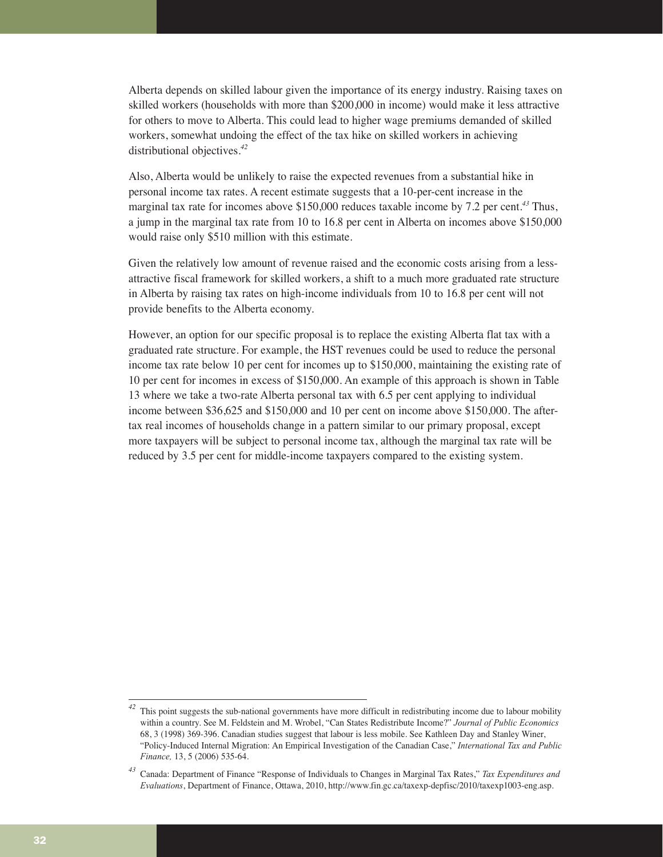Alberta depends on skilled labour given the importance of its energy industry. Raising taxes on skilled workers (households with more than \$200,000 in income) would make it less attractive for others to move to Alberta. This could lead to higher wage premiums demanded of skilled workers, somewhat undoing the effect of the tax hike on skilled workers in achieving distributional objectives.*<sup>42</sup>*

Also, Alberta would be unlikely to raise the expected revenues from a substantial hike in personal income tax rates. A recent estimate suggests that a 10-per-cent increase in the marginal tax rate for incomes above \$150,000 reduces taxable income by 7.2 per cent.*<sup>43</sup>* Thus, a jump in the marginal tax rate from 10 to 16.8 per cent in Alberta on incomes above \$150,000 would raise only \$510 million with this estimate.

Given the relatively low amount of revenue raised and the economic costs arising from a lessattractive fiscal framework for skilled workers, a shift to a much more graduated rate structure in Alberta by raising tax rates on high-income individuals from 10 to 16.8 per cent will not provide benefits to the Alberta economy.

However, an option for our specific proposal is to replace the existing Alberta flat tax with a graduated rate structure. For example, the HST revenues could be used to reduce the personal income tax rate below 10 per cent for incomes up to \$150,000, maintaining the existing rate of 10 per cent for incomes in excess of \$150,000. An example of this approach is shown in Table 13 where we take a two-rate Alberta personal tax with 6.5 per cent applying to individual income between \$36,625 and \$150,000 and 10 per cent on income above \$150,000. The aftertax real incomes of households change in a pattern similar to our primary proposal, except more taxpayers will be subject to personal income tax, although the marginal tax rate will be reduced by 3.5 per cent for middle-income taxpayers compared to the existing system.

*<sup>42</sup>* This point suggests the sub-national governments have more difficult in redistributing income due to labour mobility within a country. See M. Feldstein and M. Wrobel, "Can States Redistribute Income?" *Journal of Public Economics* 68, 3 (1998) 369-396. Canadian studies suggest that labour is less mobile. See Kathleen Day and Stanley Winer, "Policy-Induced Internal Migration: An Empirical Investigation of the Canadian Case," *International Tax and Public Finance,* 13, 5 (2006) 535-64.

*<sup>43</sup>* Canada: Department of Finance "Response of Individuals to Changes in Marginal Tax Rates," *Tax Expenditures and Evaluations*, Department of Finance, Ottawa, 2010, http://www.fin.gc.ca/taxexp-depfisc/2010/taxexp1003-eng.asp.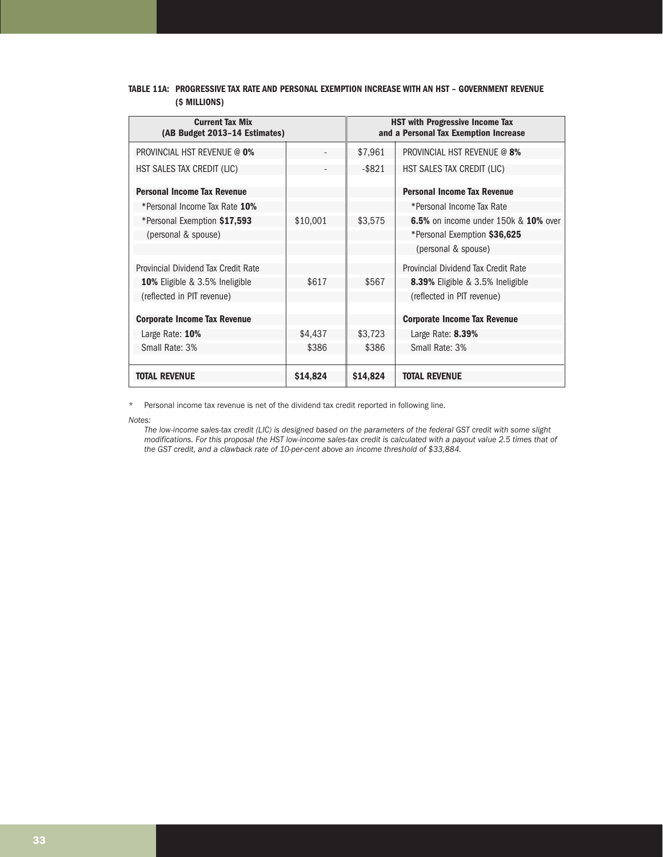# **TABLE 11A: PROGRESSIVE TAX RATE AND PERSONAL EXEMPTION INCREASE WITH AN HST – GOVERNMENT REVENUE (\$ MILLIONS)**

| <b>Current Tax Mix</b><br>(AB Budget 2013-14 Estimates) |          | <b>HST with Progressive Income Tax</b><br>and a Personal Tax Exemption Increase |                                             |  |
|---------------------------------------------------------|----------|---------------------------------------------------------------------------------|---------------------------------------------|--|
| <b>PROVINCIAL HST REVENUE @ 0%</b>                      |          | \$7,961                                                                         | <b>PROVINCIAL HST REVENUE @ 8%</b>          |  |
| HST SALES TAX CREDIT (LIC)                              |          | $-$ \$821                                                                       | HST SALES TAX CREDIT (LIC)                  |  |
| <b>Personal Income Tax Revenue</b>                      |          |                                                                                 | <b>Personal Income Tax Revenue</b>          |  |
| *Personal Income Tax Rate 10%                           |          |                                                                                 | *Personal Income Tax Rate                   |  |
| *Personal Exemption \$17,593                            | \$10,001 | \$3,575                                                                         | <b>6.5%</b> on income under 150k & 10% over |  |
| (personal & spouse)                                     |          |                                                                                 | *Personal Exemption \$36,625                |  |
|                                                         |          |                                                                                 | (personal & spouse)                         |  |
| Provincial Dividend Tax Credit Rate                     |          |                                                                                 | Provincial Dividend Tax Credit Rate         |  |
| <b>10%</b> Eligible & 3.5% Ineligible                   | \$617    | \$567                                                                           | <b>8.39%</b> Eligible & 3.5% Ineligible     |  |
| (reflected in PIT revenue)                              |          |                                                                                 | (reflected in PIT revenue)                  |  |
|                                                         |          |                                                                                 |                                             |  |
| <b>Corporate Income Tax Revenue</b>                     |          |                                                                                 | <b>Corporate Income Tax Revenue</b>         |  |
| Large Rate: 10%                                         | \$4,437  | \$3,723                                                                         | Large Rate: 8.39%                           |  |
| Small Rate: 3%                                          | \$386    | \$386                                                                           | Small Rate: 3%                              |  |
|                                                         |          |                                                                                 |                                             |  |
| <b>TOTAL REVENUE</b>                                    | \$14,824 | \$14,824                                                                        | <b>TOTAL REVENUE</b>                        |  |

\* Personal income tax revenue is net of the dividend tax credit reported in following line.

*Notes:* 

*The low-income sales-tax credit (LIC) is designed based on the parameters of the federal GST credit with some slight modifications. For this proposal the HST low-income sales-tax credit is calculated with a payout value 2.5 times that of the GST credit, and a clawback rate of 10-per-cent above an income threshold of \$33,884.*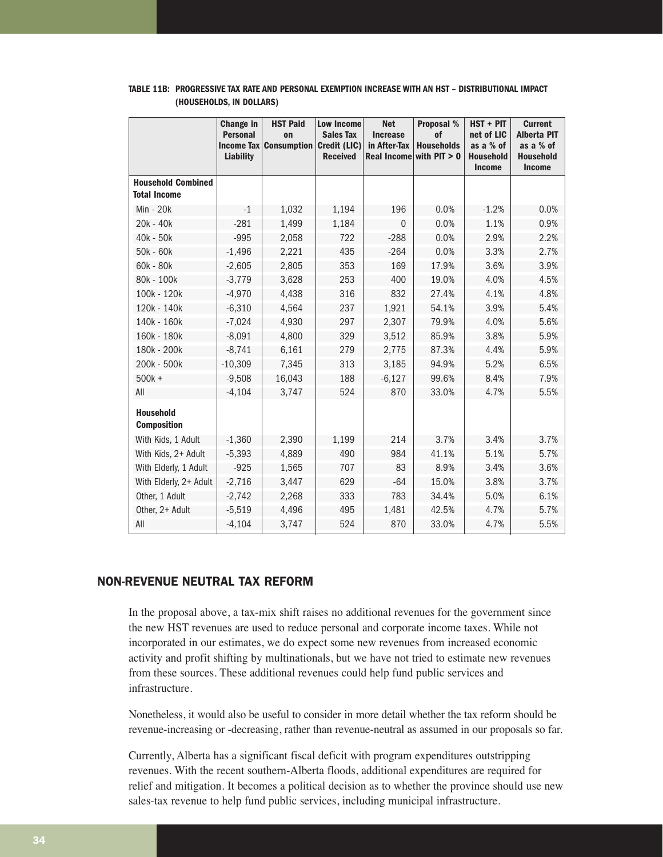|                                                  | Change in<br><b>Personal</b><br><b>Liability</b> | <b>HST Paid</b><br>on<br><b>Income Tax Consumption</b> | <b>Low Income</b><br><b>Sales Tax</b><br><b>Credit (LIC)</b><br><b>Received</b> | <b>Net</b><br><b>Increase</b><br>in After-Tax<br>Real Income | <b>Proposal %</b><br>of<br><b>Households</b><br>with $PIT > 0$ | HST + PIT<br>net of LIC<br>as a % of<br><b>Household</b><br><b>Income</b> | <b>Current</b><br><b>Alberta PIT</b><br>as a % of<br><b>Household</b><br><b>Income</b> |
|--------------------------------------------------|--------------------------------------------------|--------------------------------------------------------|---------------------------------------------------------------------------------|--------------------------------------------------------------|----------------------------------------------------------------|---------------------------------------------------------------------------|----------------------------------------------------------------------------------------|
| <b>Household Combined</b><br><b>Total Income</b> |                                                  |                                                        |                                                                                 |                                                              |                                                                |                                                                           |                                                                                        |
| Min - 20k                                        | $-1$                                             | 1,032                                                  | 1,194                                                                           | 196                                                          | 0.0%                                                           | $-1.2%$                                                                   | 0.0%                                                                                   |
| 20k - 40k                                        | $-281$                                           | 1,499                                                  | 1,184                                                                           | $\Omega$                                                     | 0.0%                                                           | 1.1%                                                                      | 0.9%                                                                                   |
| 40k - 50k                                        | $-995$                                           | 2,058                                                  | 722                                                                             | $-288$                                                       | 0.0%                                                           | 2.9%                                                                      | 2.2%                                                                                   |
| 50k - 60k                                        | $-1,496$                                         | 2,221                                                  | 435                                                                             | $-264$                                                       | 0.0%                                                           | 3.3%                                                                      | 2.7%                                                                                   |
| 60k - 80k                                        | $-2,605$                                         | 2,805                                                  | 353                                                                             | 169                                                          | 17.9%                                                          | 3.6%                                                                      | 3.9%                                                                                   |
| 80k - 100k                                       | $-3,779$                                         | 3,628                                                  | 253                                                                             | 400                                                          | 19.0%                                                          | 4.0%                                                                      | 4.5%                                                                                   |
| 100k - 120k                                      | $-4,970$                                         | 4,438                                                  | 316                                                                             | 832                                                          | 27.4%                                                          | 4.1%                                                                      | 4.8%                                                                                   |
| 120k - 140k                                      | $-6,310$                                         | 4,564                                                  | 237                                                                             | 1,921                                                        | 54.1%                                                          | 3.9%                                                                      | 5.4%                                                                                   |
| 140k - 160k                                      | $-7,024$                                         | 4,930                                                  | 297                                                                             | 2,307                                                        | 79.9%                                                          | 4.0%                                                                      | 5.6%                                                                                   |
| 160k - 180k                                      | $-8,091$                                         | 4,800                                                  | 329                                                                             | 3,512                                                        | 85.9%                                                          | 3.8%                                                                      | 5.9%                                                                                   |
| 180k - 200k                                      | $-8,741$                                         | 6,161                                                  | 279                                                                             | 2,775                                                        | 87.3%                                                          | 4.4%                                                                      | 5.9%                                                                                   |
| 200k - 500k                                      | $-10,309$                                        | 7,345                                                  | 313                                                                             | 3,185                                                        | 94.9%                                                          | 5.2%                                                                      | 6.5%                                                                                   |
| $500k +$                                         | $-9,508$                                         | 16,043                                                 | 188                                                                             | $-6,127$                                                     | 99.6%                                                          | 8.4%                                                                      | 7.9%                                                                                   |
| All                                              | $-4,104$                                         | 3,747                                                  | 524                                                                             | 870                                                          | 33.0%                                                          | 4.7%                                                                      | 5.5%                                                                                   |
| <b>Household</b><br><b>Composition</b>           |                                                  |                                                        |                                                                                 |                                                              |                                                                |                                                                           |                                                                                        |
| With Kids, 1 Adult                               | $-1,360$                                         | 2,390                                                  | 1,199                                                                           | 214                                                          | 3.7%                                                           | 3.4%                                                                      | 3.7%                                                                                   |
| With Kids, 2+ Adult                              | $-5,393$                                         | 4,889                                                  | 490                                                                             | 984                                                          | 41.1%                                                          | 5.1%                                                                      | 5.7%                                                                                   |
| With Elderly, 1 Adult                            | $-925$                                           | 1,565                                                  | 707                                                                             | 83                                                           | 8.9%                                                           | 3.4%                                                                      | 3.6%                                                                                   |
| With Elderly, 2+ Adult                           | $-2,716$                                         | 3,447                                                  | 629                                                                             | $-64$                                                        | 15.0%                                                          | 3.8%                                                                      | 3.7%                                                                                   |
| Other, 1 Adult                                   | $-2,742$                                         | 2,268                                                  | 333                                                                             | 783                                                          | 34.4%                                                          | 5.0%                                                                      | 6.1%                                                                                   |
| Other, 2+ Adult                                  | $-5,519$                                         | 4,496                                                  | 495                                                                             | 1,481                                                        | 42.5%                                                          | 4.7%                                                                      | 5.7%                                                                                   |
| All                                              | $-4,104$                                         | 3,747                                                  | 524                                                                             | 870                                                          | 33.0%                                                          | 4.7%                                                                      | 5.5%                                                                                   |

#### **TABLE 11B: PROGRESSIVE TAX RATE AND PERSONAL EXEMPTION INCREASE WITH AN HST – DISTRIBUTIONAL IMPACT (HOUSEHOLDS, IN DOLLARS)**

# NON-REVENUE NEUTRAL TAX REFORM

In the proposal above, a tax-mix shift raises no additional revenues for the government since the new HST revenues are used to reduce personal and corporate income taxes. While not incorporated in our estimates, we do expect some new revenues from increased economic activity and profit shifting by multinationals, but we have not tried to estimate new revenues from these sources. These additional revenues could help fund public services and infrastructure.

Nonetheless, it would also be useful to consider in more detail whether the tax reform should be revenue-increasing or -decreasing, rather than revenue-neutral as assumed in our proposals so far.

Currently, Alberta has a significant fiscal deficit with program expenditures outstripping revenues. With the recent southern-Alberta floods, additional expenditures are required for relief and mitigation. It becomes a political decision as to whether the province should use new sales-tax revenue to help fund public services, including municipal infrastructure.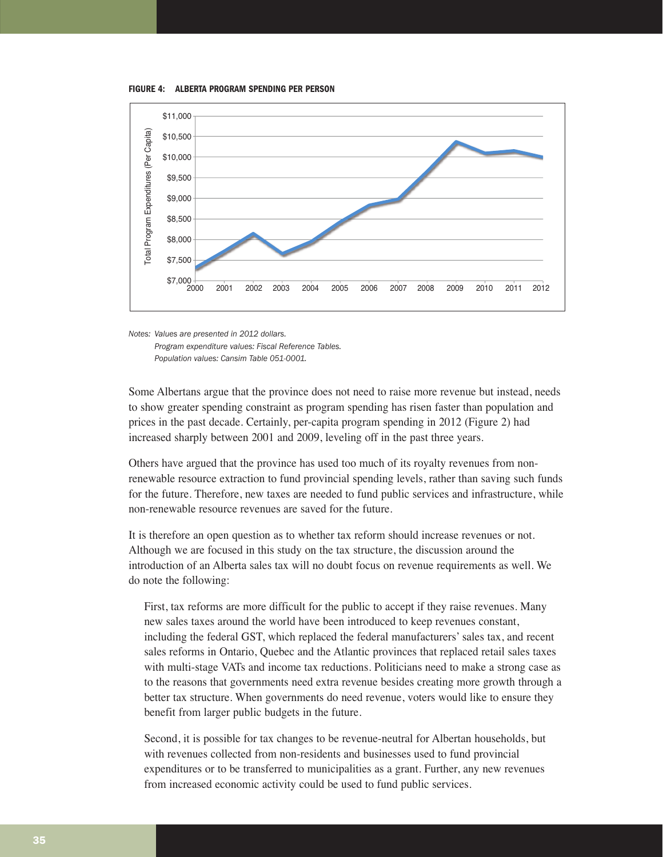**FIGURE 4: ALBERTA PROGRAM SPENDING PER PERSON**



*Notes: Values are presented in 2012 dollars. Program expenditure values: Fiscal Reference Tables. Population values: Cansim Table 051-0001.*

Some Albertans argue that the province does not need to raise more revenue but instead, needs to show greater spending constraint as program spending has risen faster than population and prices in the past decade. Certainly, per-capita program spending in 2012 (Figure 2) had increased sharply between 2001 and 2009, leveling off in the past three years.

Others have argued that the province has used too much of its royalty revenues from nonrenewable resource extraction to fund provincial spending levels, rather than saving such funds for the future. Therefore, new taxes are needed to fund public services and infrastructure, while non-renewable resource revenues are saved for the future.

It is therefore an open question as to whether tax reform should increase revenues or not. Although we are focused in this study on the tax structure, the discussion around the introduction of an Alberta sales tax will no doubt focus on revenue requirements as well. We do note the following:

First, tax reforms are more difficult for the public to accept if they raise revenues. Many new sales taxes around the world have been introduced to keep revenues constant, including the federal GST, which replaced the federal manufacturers' sales tax, and recent sales reforms in Ontario, Quebec and the Atlantic provinces that replaced retail sales taxes with multi-stage VATs and income tax reductions. Politicians need to make a strong case as to the reasons that governments need extra revenue besides creating more growth through a better tax structure. When governments do need revenue, voters would like to ensure they benefit from larger public budgets in the future.

Second, it is possible for tax changes to be revenue-neutral for Albertan households, but with revenues collected from non-residents and businesses used to fund provincial expenditures or to be transferred to municipalities as a grant. Further, any new revenues from increased economic activity could be used to fund public services.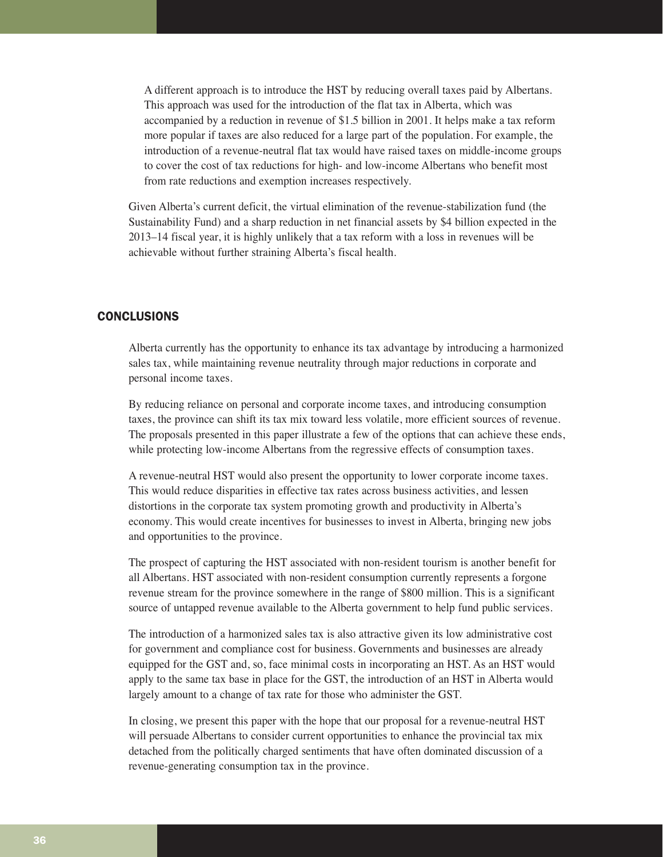A different approach is to introduce the HST by reducing overall taxes paid by Albertans. This approach was used for the introduction of the flat tax in Alberta, which was accompanied by a reduction in revenue of \$1.5 billion in 2001. It helps make a tax reform more popular if taxes are also reduced for a large part of the population. For example, the introduction of a revenue-neutral flat tax would have raised taxes on middle-income groups to cover the cost of tax reductions for high- and low-income Albertans who benefit most from rate reductions and exemption increases respectively.

Given Alberta's current deficit, the virtual elimination of the revenue-stabilization fund (the Sustainability Fund) and a sharp reduction in net financial assets by \$4 billion expected in the 2013–14 fiscal year, it is highly unlikely that a tax reform with a loss in revenues will be achievable without further straining Alberta's fiscal health.

# CONCLUSIONS

Alberta currently has the opportunity to enhance its tax advantage by introducing a harmonized sales tax, while maintaining revenue neutrality through major reductions in corporate and personal income taxes.

By reducing reliance on personal and corporate income taxes, and introducing consumption taxes, the province can shift its tax mix toward less volatile, more efficient sources of revenue. The proposals presented in this paper illustrate a few of the options that can achieve these ends, while protecting low-income Albertans from the regressive effects of consumption taxes.

A revenue-neutral HST would also present the opportunity to lower corporate income taxes. This would reduce disparities in effective tax rates across business activities, and lessen distortions in the corporate tax system promoting growth and productivity in Alberta's economy. This would create incentives for businesses to invest in Alberta, bringing new jobs and opportunities to the province.

The prospect of capturing the HST associated with non-resident tourism is another benefit for all Albertans. HST associated with non-resident consumption currently represents a forgone revenue stream for the province somewhere in the range of \$800 million. This is a significant source of untapped revenue available to the Alberta government to help fund public services.

The introduction of a harmonized sales tax is also attractive given its low administrative cost for government and compliance cost for business. Governments and businesses are already equipped for the GST and, so, face minimal costs in incorporating an HST. As an HST would apply to the same tax base in place for the GST, the introduction of an HST in Alberta would largely amount to a change of tax rate for those who administer the GST.

In closing, we present this paper with the hope that our proposal for a revenue-neutral HST will persuade Albertans to consider current opportunities to enhance the provincial tax mix detached from the politically charged sentiments that have often dominated discussion of a revenue-generating consumption tax in the province.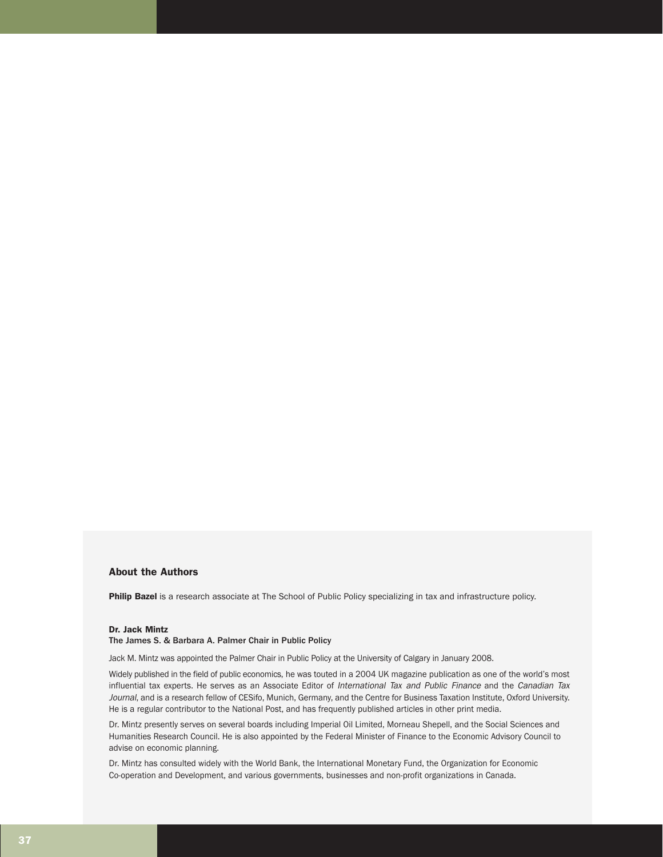#### About the Authors

Philip Bazel is a research associate at The School of Public Policy specializing in tax and infrastructure policy.

#### Dr. Jack Mintz

#### The James S. & Barbara A. Palmer Chair in Public Policy

Jack M. Mintz was appointed the Palmer Chair in Public Policy at the University of Calgary in January 2008.

Widely published in the field of public economics, he was touted in a 2004 UK magazine publication as one of the world's most influential tax experts. He serves as an Associate Editor of International Tax and Public Finance and the Canadian Tax Journal, and is a research fellow of CESifo, Munich, Germany, and the Centre for Business Taxation Institute, Oxford University. He is a regular contributor to the National Post, and has frequently published articles in other print media.

Dr. Mintz presently serves on several boards including Imperial Oil Limited, Morneau Shepell, and the Social Sciences and Humanities Research Council. He is also appointed by the Federal Minister of Finance to the Economic Advisory Council to advise on economic planning.

Dr. Mintz has consulted widely with the World Bank, the International Monetary Fund, the Organization for Economic Co-operation and Development, and various governments, businesses and non-profit organizations in Canada.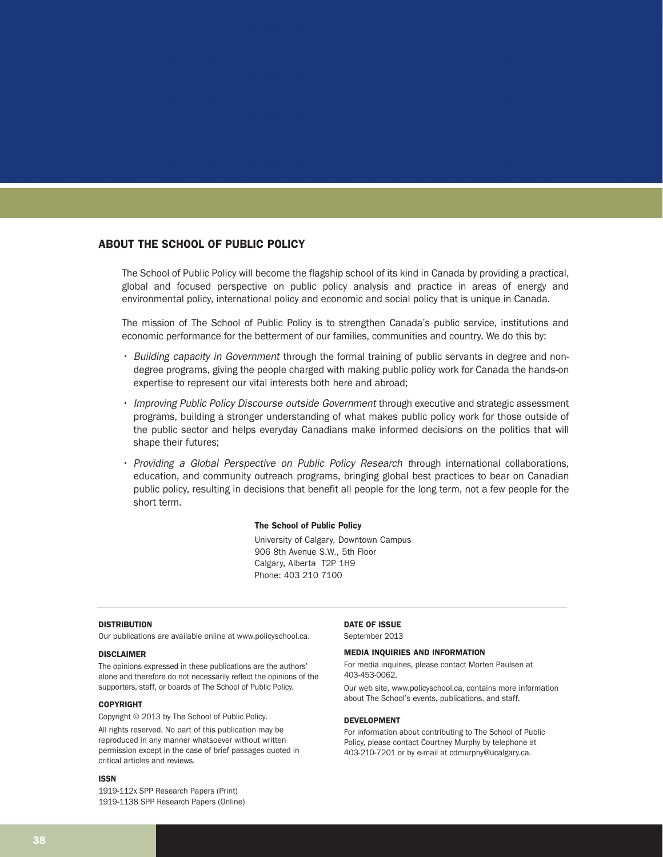#### ABOUT THE SCHOOL OF PUBLIC POLICY

The School of Public Policy will become the flagship school of its kind in Canada by providing a practical, global and focused perspective on public policy analysis and practice in areas of energy and environmental policy, international policy and economic and social policy that is unique in Canada.

The mission of The School of Public Policy is to strengthen Canada's public service, institutions and economic performance for the betterment of our families, communities and country. We do this by:

- Building capacity in Government through the formal training of public servants in degree and nondegree programs, giving the people charged with making public policy work for Canada the hands-on expertise to represent our vital interests both here and abroad;
- $\cdot$  Improving Public Policy Discourse outside Government through executive and strategic assessment programs, building a stronger understanding of what makes public policy work for those outside of the public sector and helps everyday Canadians make informed decisions on the politics that will shape their futures;
- Providing a Global Perspective on Public Policy Research through international collaborations, education, and community outreach programs, bringing global best practices to bear on Canadian public policy, resulting in decisions that benefit all people for the long term, not a few people for the short term.

#### The School of Public Policy

University of Calgary, Downtown Campus 906 8th Avenue S.W., 5th Floor Calgary, Alberta T2P 1H9 Phone: 403 210 7100

#### DISTRIBUTION

Our publications are available online at www.policyschool.ca.

#### DISCLAIMER

The opinions expressed in these publications are the authors' alone and therefore do not necessarily reflect the opinions of the supporters, staff, or boards of The School of Public Policy.

#### COPYRIGHT

Copyright © 2013 by The School of Public Policy.

All rights reserved. No part of this publication may be reproduced in any manner whatsoever without written permission except in the case of brief passages quoted in critical articles and reviews.

#### ISSN

1919-112x SPP Research Papers (Print) 1919-1138 SPP Research Papers (Online)

#### DATE OF ISSUE

September 2013

#### MEDIA INQUIRIES AND INFORMATION

For media inquiries, please contact Morten Paulsen at 403-453-0062.

Our web site, www.policyschool.ca, contains more information about The School's events, publications, and staff.

#### DEVELOPMENT

For information about contributing to The School of Public Policy, please contact Courtney Murphy by telephone at 403-210-7201 or by e-mail at cdmurphy@ucalgary.ca.